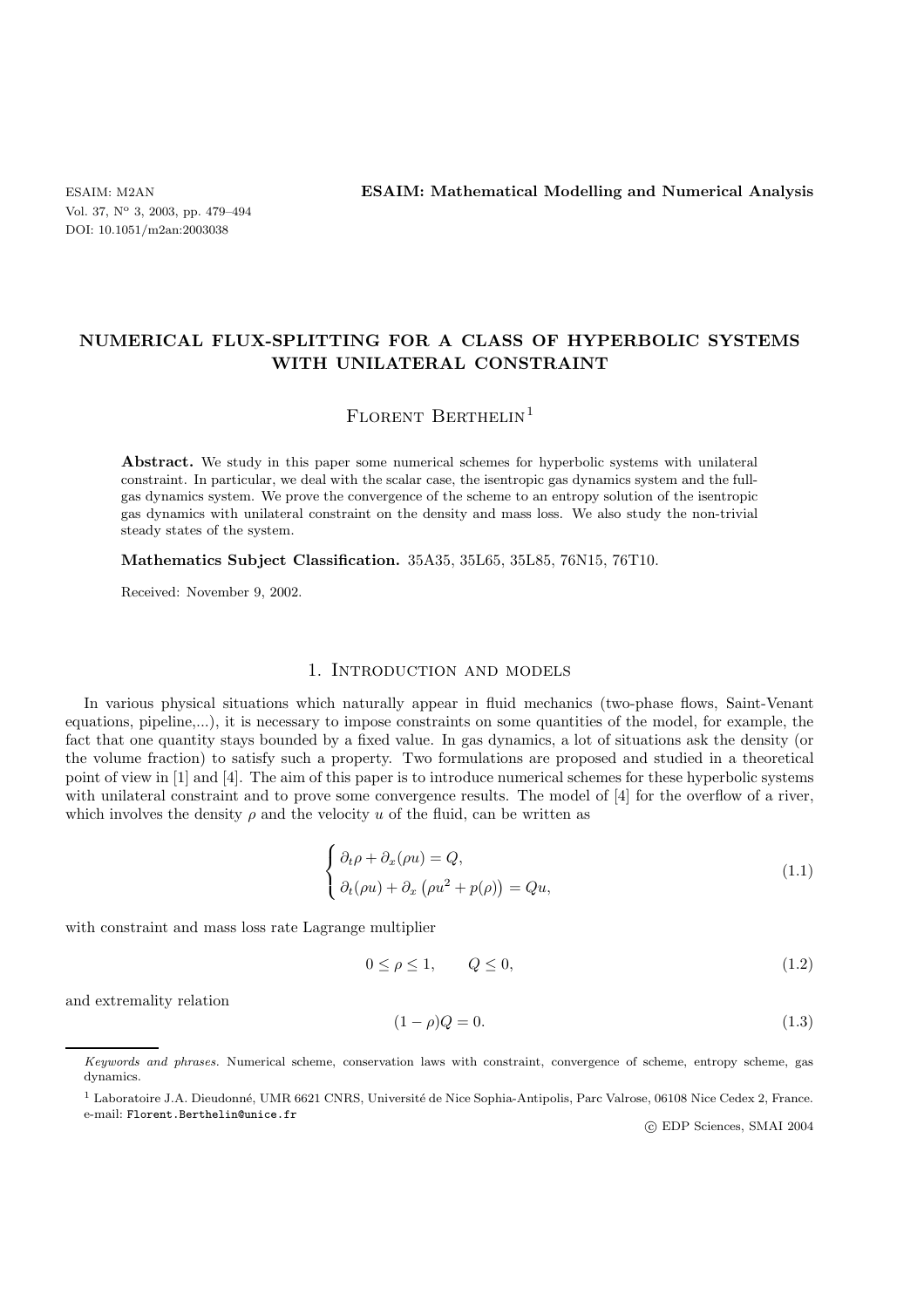ESAIM: M2AN **ESAIM: Mathematical Modelling and Numerical Analysis**

# **NUMERICAL FLUX-SPLITTING FOR A CLASS OF HYPERBOLIC SYSTEMS WITH UNILATERAL CONSTRAINT**

# FLORENT BERTHELIN<sup>1</sup>

Abstract. We study in this paper some numerical schemes for hyperbolic systems with unilateral constraint. In particular, we deal with the scalar case, the isentropic gas dynamics system and the fullgas dynamics system. We prove the convergence of the scheme to an entropy solution of the isentropic gas dynamics with unilateral constraint on the density and mass loss. We also study the non-trivial steady states of the system.

**Mathematics Subject Classification.** 35A35, 35L65, 35L85, 76N15, 76T10.

Received: November 9, 2002.

## 1. Introduction and models

In various physical situations which naturally appear in fluid mechanics (two-phase flows, Saint-Venant equations, pipeline,...), it is necessary to impose constraints on some quantities of the model, for example, the fact that one quantity stays bounded by a fixed value. In gas dynamics, a lot of situations ask the density (or the volume fraction) to satisfy such a property. Two formulations are proposed and studied in a theoretical point of view in [1] and [4]. The aim of this paper is to introduce numerical schemes for these hyperbolic systems with unilateral constraint and to prove some convergence results. The model of [4] for the overflow of a river, which involves the density  $\rho$  and the velocity u of the fluid, can be written as

$$
\begin{cases} \partial_t \rho + \partial_x (\rho u) = Q, \\ \partial_t (\rho u) + \partial_x (\rho u^2 + p(\rho)) = Q u, \end{cases}
$$
\n(1.1)

with constraint and mass loss rate Lagrange multiplier

$$
0 \le \rho \le 1, \qquad Q \le 0,\tag{1.2}
$$

and extremality relation

$$
(1 - \rho)Q = 0.\tag{1.3}
$$

c EDP Sciences, SMAI 2004

*Keywords and phrases.* Numerical scheme, conservation laws with constraint, convergence of scheme, entropy scheme, gas dynamics.

<sup>&</sup>lt;sup>1</sup> Laboratoire J.A. Dieudonné, UMR 6621 CNRS, Université de Nice Sophia-Antipolis, Parc Valrose, 06108 Nice Cedex 2, France. e-mail: Florent.Berthelin@unice.fr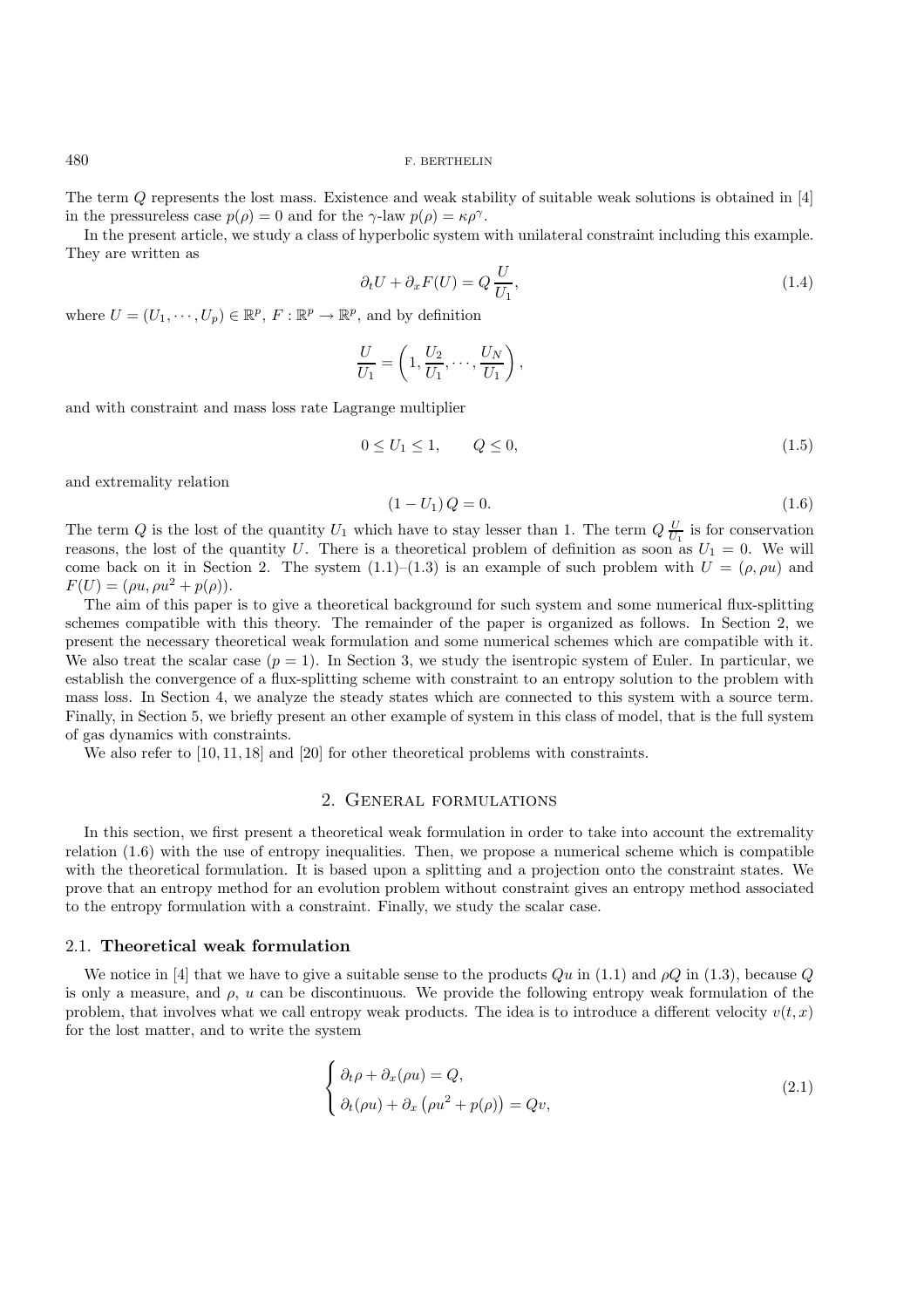The term Q represents the lost mass. Existence and weak stability of suitable weak solutions is obtained in [4] in the pressureless case  $p(\rho) = 0$  and for the  $\gamma$ -law  $p(\rho) = \kappa \rho^{\gamma}$ .

In the present article, we study a class of hyperbolic system with unilateral constraint including this example. They are written as

$$
\partial_t U + \partial_x F(U) = Q \frac{U}{U_1},\tag{1.4}
$$

where  $U = (U_1, \dots, U_n) \in \mathbb{R}^p$ ,  $F : \mathbb{R}^p \to \mathbb{R}^p$ , and by definition

$$
\frac{U}{U_1} = \left(1, \frac{U_2}{U_1}, \cdots, \frac{U_N}{U_1}\right),\,
$$

and with constraint and mass loss rate Lagrange multiplier

$$
0 \le U_1 \le 1, \qquad Q \le 0,\tag{1.5}
$$

and extremality relation

$$
(1 - U_1) Q = 0. \t\t(1.6)
$$

The term Q is the lost of the quantity  $U_1$  which have to stay lesser than 1. The term  $Q \frac{U}{U_1}$  is for conservation reasons, the lost of the quantity U. There is a theoretical problem of definition as soon as  $U_1 = 0$ . We will come back on it in Section 2. The system  $(1.1)$ – $(1.3)$  is an example of such problem with  $U = (\rho, \rho u)$  and  $F(U)=(\rho u, \rho u^2 + p(\rho)).$ 

The aim of this paper is to give a theoretical background for such system and some numerical flux-splitting schemes compatible with this theory. The remainder of the paper is organized as follows. In Section 2, we present the necessary theoretical weak formulation and some numerical schemes which are compatible with it. We also treat the scalar case  $(p = 1)$ . In Section 3, we study the isentropic system of Euler. In particular, we establish the convergence of a flux-splitting scheme with constraint to an entropy solution to the problem with mass loss. In Section 4, we analyze the steady states which are connected to this system with a source term. Finally, in Section 5, we briefly present an other example of system in this class of model, that is the full system of gas dynamics with constraints.

We also refer to  $[10, 11, 18]$  and  $[20]$  for other theoretical problems with constraints.

## 2. General formulations

In this section, we first present a theoretical weak formulation in order to take into account the extremality relation (1.6) with the use of entropy inequalities. Then, we propose a numerical scheme which is compatible with the theoretical formulation. It is based upon a splitting and a projection onto the constraint states. We prove that an entropy method for an evolution problem without constraint gives an entropy method associated to the entropy formulation with a constraint. Finally, we study the scalar case.

## 2.1. **Theoretical weak formulation**

We notice in [4] that we have to give a suitable sense to the products  $Qu$  in (1.1) and  $\rho Q$  in (1.3), because  $Q$ is only a measure, and  $\rho$ , u can be discontinuous. We provide the following entropy weak formulation of the problem, that involves what we call entropy weak products. The idea is to introduce a different velocity  $v(t, x)$ for the lost matter, and to write the system

$$
\begin{cases} \partial_t \rho + \partial_x (\rho u) = Q, \\ \partial_t (\rho u) + \partial_x (\rho u^2 + p(\rho)) = Qv, \end{cases}
$$
\n(2.1)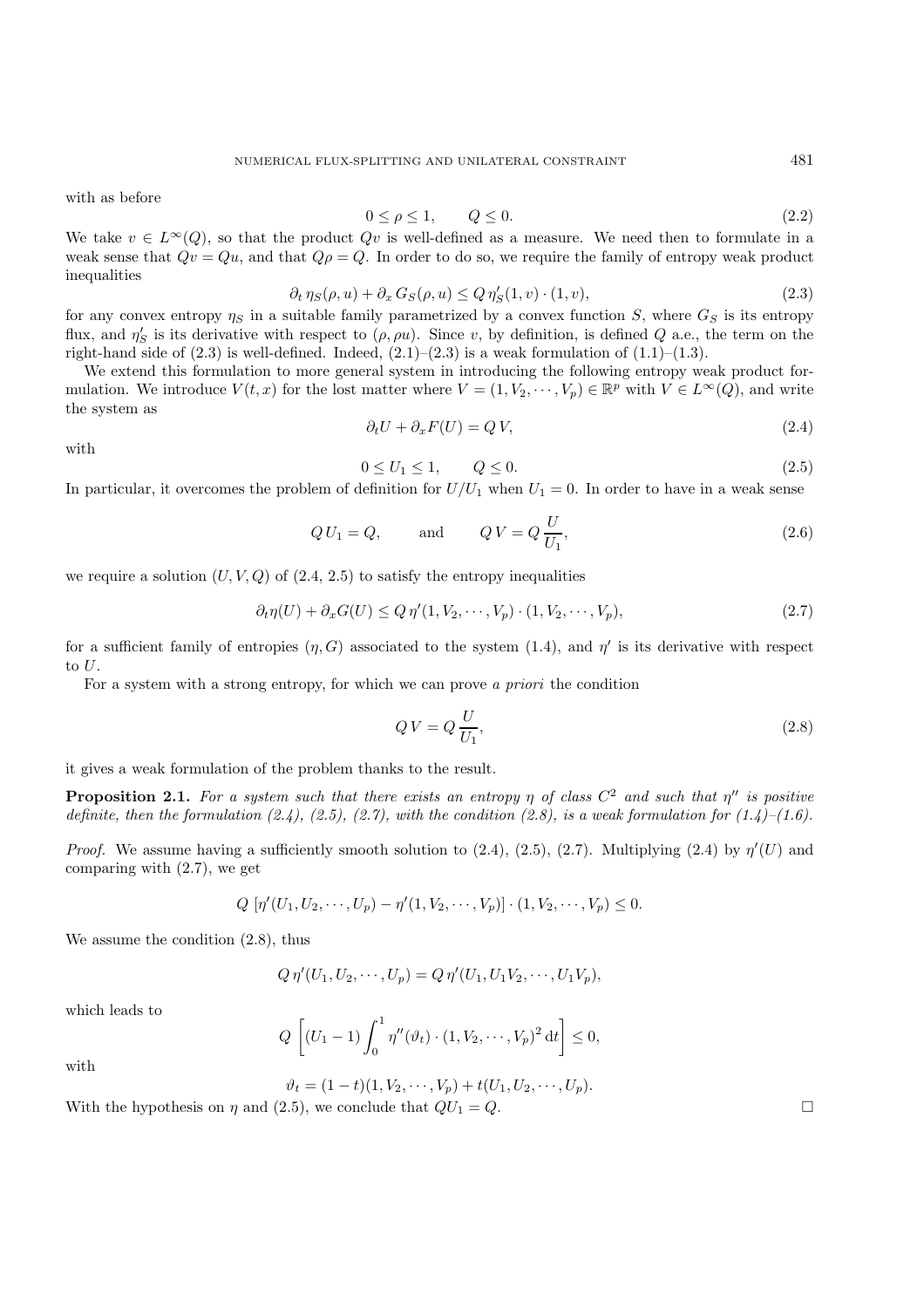with as before

$$
0 \le \rho \le 1, \qquad Q \le 0. \tag{2.2}
$$

We take  $v \in L^{\infty}(Q)$ , so that the product  $Qv$  is well-defined as a measure. We need then to formulate in a weak sense that  $Qv = Qu$ , and that  $Q\rho = Q$ . In order to do so, we require the family of entropy weak product inequalities

$$
\partial_t \eta_S(\rho, u) + \partial_x G_S(\rho, u) \le Q \eta'_S(1, v) \cdot (1, v), \tag{2.3}
$$

for any convex entropy  $\eta_s$  in a suitable family parametrized by a convex function S, where  $G_S$  is its entropy flux, and  $\eta'_{S}$  is its derivative with respect to  $(\rho, \rho u)$ . Since v, by definition, is defined Q a.e., the term on the right-hand side of  $(2.3)$  is well-defined. Indeed,  $(2.1)$ – $(2.3)$  is a weak formulation of  $(1.1)$ – $(1.3)$ .

We extend this formulation to more general system in introducing the following entropy weak product formulation. We introduce  $V(t, x)$  for the lost matter where  $V = (1, V_2, \dots, V_p) \in \mathbb{R}^p$  with  $V \in L^{\infty}(Q)$ , and write the system as  $\partial_t U + \partial_x F(U) = Q V,$  (2.4)

with

$$
0 \le U_1 \le 1, \qquad Q \le 0. \tag{2.5}
$$

In particular, it overcomes the problem of definition for  $U/U_1$  when  $U_1 = 0$ . In order to have in a weak sense

$$
QU_1 = Q,
$$
 and  $QV = Q\frac{U}{U_1},$  (2.6)

we require a solution  $(U, V, Q)$  of  $(2.4, 2.5)$  to satisfy the entropy inequalities

$$
\partial_t \eta(U) + \partial_x G(U) \le Q \eta'(1, V_2, \cdots, V_p) \cdot (1, V_2, \cdots, V_p),\tag{2.7}
$$

for a sufficient family of entropies  $(\eta, G)$  associated to the system (1.4), and  $\eta'$  is its derivative with respect to  $U$ .

For a system with a strong entropy, for which we can prove *a priori* the condition

$$
QV = Q\frac{U}{U_1},\tag{2.8}
$$

it gives a weak formulation of the problem thanks to the result.

**Proposition 2.1.** For a system such that there exists an entropy  $\eta$  of class  $C^2$  and such that  $\eta''$  is positive *definite, then the formulation*  $(2.4)$ *,*  $(2.5)$ *,*  $(2.7)$ *, with the condition*  $(2.8)$ *, is a weak formulation for*  $(1.4)$ *–* $(1.6)$ *.* 

*Proof.* We assume having a sufficiently smooth solution to  $(2.4)$ ,  $(2.5)$ ,  $(2.7)$ . Multiplying  $(2.4)$  by  $\eta'(U)$  and comparing with (2.7), we get

$$
Q \left[ \eta'(U_1, U_2, \cdots, U_p) - \eta'(1, V_2, \cdots, V_p) \right] \cdot (1, V_2, \cdots, V_p) \leq 0.
$$

We assume the condition (2.8), thus

$$
Q \eta'(U_1, U_2, \cdots, U_p) = Q \eta'(U_1, U_1 V_2, \cdots, U_1 V_p),
$$

which leads to

$$
Q\left[ (U_1 - 1) \int_0^1 \eta''(\vartheta_t) \cdot (1, V_2, \cdots, V_p)^2 dt \right] \le 0,
$$

with

$$
\vartheta_t = (1-t)(1, V_2, \cdots, V_p) + t(U_1, U_2, \cdots, U_p).
$$

With the hypothesis on  $\eta$  and (2.5), we conclude that  $QU_1 = Q$ .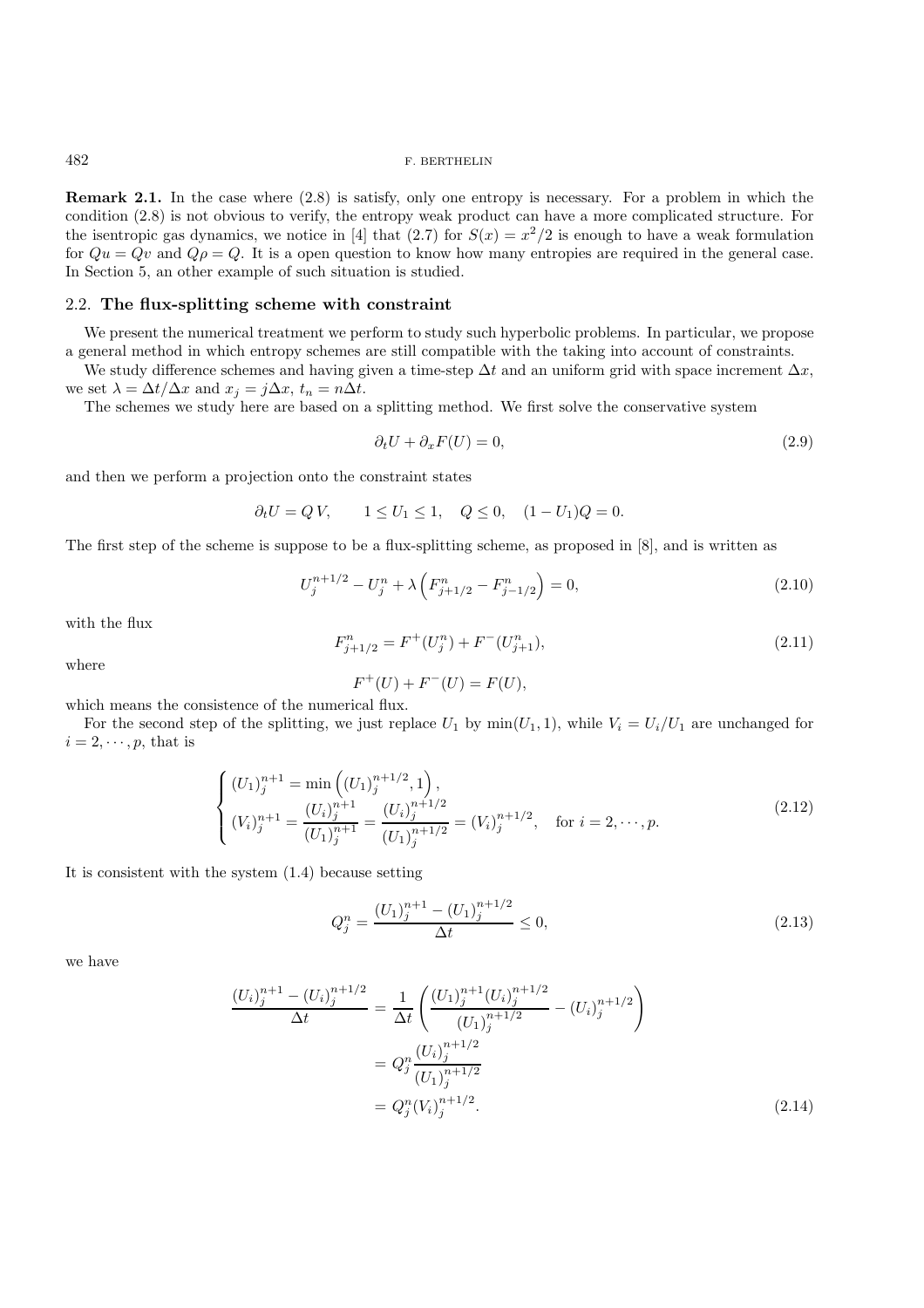**Remark 2.1.** In the case where  $(2.8)$  is satisfy, only one entropy is necessary. For a problem in which the condition (2.8) is not obvious to verify, the entropy weak product can have a more complicated structure. For the isentropic gas dynamics, we notice in [4] that (2.7) for  $S(x) = x^2/2$  is enough to have a weak formulation for  $Qu = Qv$  and  $Q\rho = Q$ . It is a open question to know how many entropies are required in the general case. In Section 5, an other example of such situation is studied.

## 2.2. **The flux-splitting scheme with constraint**

We present the numerical treatment we perform to study such hyperbolic problems. In particular, we propose a general method in which entropy schemes are still compatible with the taking into account of constraints.

We study difference schemes and having given a time-step  $\Delta t$  and an uniform grid with space increment  $\Delta x$ , we set  $\lambda = \Delta t / \Delta x$  and  $x_j = j \Delta x$ ,  $t_n = n \Delta t$ .

The schemes we study here are based on a splitting method. We first solve the conservative system

$$
\partial_t U + \partial_x F(U) = 0,\t\t(2.9)
$$

and then we perform a projection onto the constraint states

$$
\partial_t U = Q V
$$
,  $1 \le U_1 \le 1$ ,  $Q \le 0$ ,  $(1 - U_1)Q = 0$ .

The first step of the scheme is suppose to be a flux-splitting scheme, as proposed in [8], and is written as

$$
U_j^{n+1/2} - U_j^n + \lambda \left( F_{j+1/2}^n - F_{j-1/2}^n \right) = 0,
$$
\n(2.10)

with the flux

$$
F_{j+1/2}^n = F^+(U_j^n) + F^-(U_{j+1}^n),\tag{2.11}
$$

where

$$
F^{+}(U) + F^{-}(U) = F(U),
$$

which means the consistence of the numerical flux.

For the second step of the splitting, we just replace  $U_1$  by  $min(U_1, 1)$ , while  $V_i = U_i/U_1$  are unchanged for  $i = 2, \dots, p$ , that is

$$
\begin{cases}\n(U_1)_j^{n+1} = \min\left((U_1)_j^{n+1/2}, 1\right), \\
(V_i)_j^{n+1} = \frac{(U_i)_j^{n+1}}{(U_1)_j^{n+1}} = \frac{(U_i)_j^{n+1/2}}{(U_1)_j^{n+1/2}} = (V_i)_j^{n+1/2}, \quad \text{for } i = 2, \dots, p.\n\end{cases} \tag{2.12}
$$

It is consistent with the system (1.4) because setting

$$
Q_j^n = \frac{(U_1)_j^{n+1} - (U_1)_j^{n+1/2}}{\Delta t} \le 0,
$$
\n(2.13)

we have

$$
\frac{(U_i)_j^{n+1} - (U_i)_j^{n+1/2}}{\Delta t} = \frac{1}{\Delta t} \left( \frac{(U_1)_j^{n+1} (U_i)_j^{n+1/2}}{(U_1)_j^{n+1/2}} - (U_i)_j^{n+1/2} \right)
$$

$$
= Q_j^n \frac{(U_i)_j^{n+1/2}}{(U_1)_j^{n+1/2}}
$$

$$
= Q_j^n (V_i)_j^{n+1/2}.
$$
(2.14)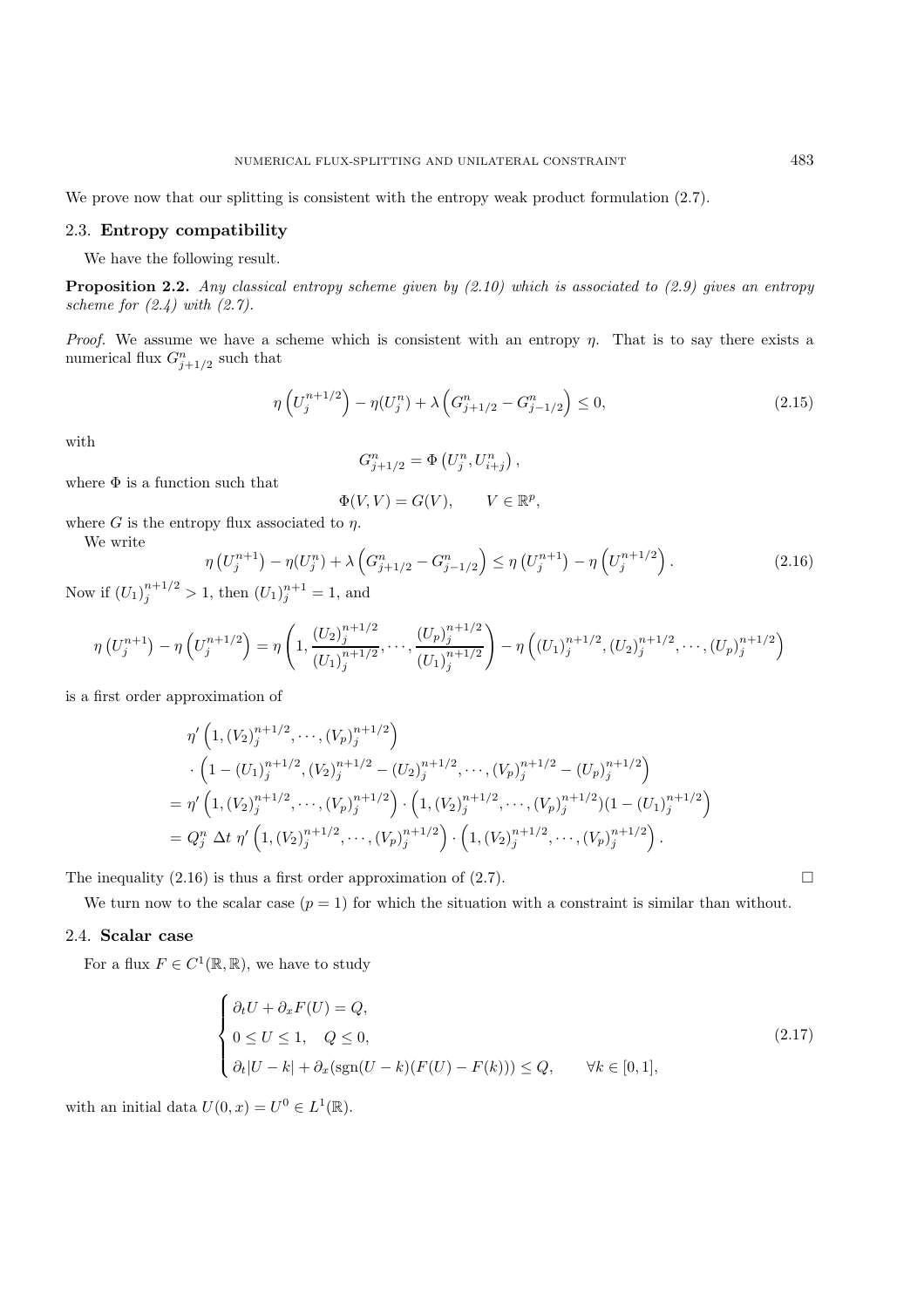We prove now that our splitting is consistent with the entropy weak product formulation  $(2.7)$ .

## 2.3. **Entropy compatibility**

We have the following result.

**Proposition 2.2.** *Any classical entropy scheme given by (2.10) which is associated to (2.9) gives an entropy scheme for (2.4) with (2.7).*

*Proof.* We assume we have a scheme which is consistent with an entropy  $\eta$ . That is to say there exists a numerical flux  $G_{j+1/2}^n$  such that

$$
\eta\left(U_j^{n+1/2}\right) - \eta(U_j^n) + \lambda\left(G_{j+1/2}^n - G_{j-1/2}^n\right) \le 0,\tag{2.15}
$$

with

We write

$$
G_{j+1/2}^n = \Phi\left(U_j^n, U_{i+j}^n\right),\,
$$

where  $\Phi$  is a function such that

$$
\Phi(V, V) = G(V), \qquad V \in \mathbb{R}^p,
$$

where G is the entropy flux associated to  $\eta$ .

η

$$
\left(U_j^{n+1}\right) - \eta(U_j^n) + \lambda \left(G_{j+1/2}^n - G_{j-1/2}^n\right) \le \eta \left(U_j^{n+1}\right) - \eta \left(U_j^{n+1/2}\right). \tag{2.16}
$$

Now if  $(U_1)_j^{n+1/2} > 1$ , then  $(U_1)_j^{n+1} = 1$ , and

$$
\eta\left(U_j^{n+1}\right) - \eta\left(U_j^{n+1/2}\right) = \eta\left(1, \frac{\left(U_2\right)_j^{n+1/2}}{\left(U_1\right)_j^{n+1/2}}, \dots, \frac{\left(U_p\right)_j^{n+1/2}}{\left(U_1\right)_j^{n+1/2}}\right) - \eta\left(\left(U_1\right)_j^{n+1/2}, \left(U_2\right)_j^{n+1/2}, \dots, \left(U_p\right)_j^{n+1/2}\right)
$$

is a first order approximation of

$$
\eta' \left(1, (V_2)^{n+1/2}_j, \cdots, (V_p)^{n+1/2}_j\right)
$$
  
\n
$$
\cdot \left(1 - (U_1)^{n+1/2}_j, (V_2)^{n+1/2}_j - (U_2)^{n+1/2}_j, \cdots, (V_p)^{n+1/2}_j - (U_p)^{n+1/2}_j\right)
$$
  
\n
$$
= \eta' \left(1, (V_2)^{n+1/2}_j, \cdots, (V_p)^{n+1/2}_j\right) \cdot \left(1, (V_2)^{n+1/2}_j, \cdots, (V_p)^{n+1/2}_j\right) (1 - (U_1)^{n+1/2}_j)
$$
  
\n
$$
= Q_j^n \Delta t \eta' \left(1, (V_2)^{n+1/2}_j, \cdots, (V_p)^{n+1/2}_j\right) \cdot \left(1, (V_2)^{n+1/2}_j, \cdots, (V_p)^{n+1/2}_j\right).
$$

The inequality (2.16) is thus a first order approximation of (2.7).  $\Box$ 

We turn now to the scalar case  $(p = 1)$  for which the situation with a constraint is similar than without.

# 2.4. **Scalar case**

For a flux  $F \in C^1(\mathbb{R}, \mathbb{R})$ , we have to study

$$
\begin{cases}\n\partial_t U + \partial_x F(U) = Q, \\
0 \le U \le 1, \quad Q \le 0, \\
\partial_t |U - k| + \partial_x (\text{sgn}(U - k)(F(U) - F(k))) \le Q, \qquad \forall k \in [0, 1],\n\end{cases}
$$
\n(2.17)

with an initial data  $U(0, x) = U^0 \in L^1(\mathbb{R})$ .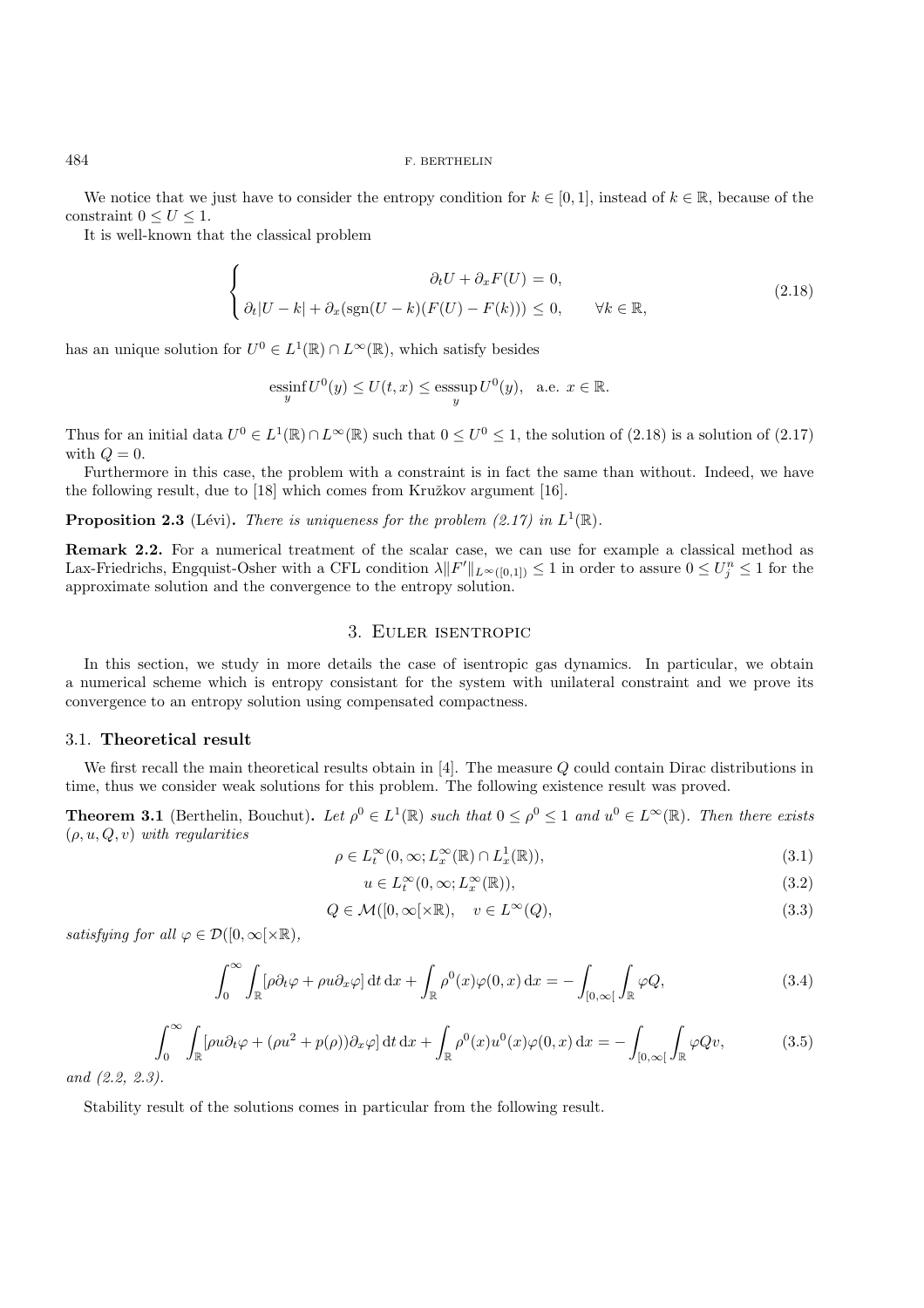We notice that we just have to consider the entropy condition for  $k \in [0, 1]$ , instead of  $k \in \mathbb{R}$ , because of the constraint  $0 \leq U \leq 1$ .

It is well-known that the classical problem

$$
\begin{cases}\n\partial_t U + \partial_x F(U) = 0, \\
\partial_t |U - k| + \partial_x (\text{sgn}(U - k)(F(U) - F(k))) \le 0, \quad \forall k \in \mathbb{R},\n\end{cases}
$$
\n(2.18)

has an unique solution for  $U^0 \in L^1(\mathbb{R}) \cap L^{\infty}(\mathbb{R})$ , which satisfy besides

$$
\operatorname*{essinf}_y U^0(y) \le U(t,x) \le \operatorname*{esssup}_y U^0(y), \ \ \text{a.e.} \ x \in \mathbb{R}.
$$

Thus for an initial data  $U^0 \in L^1(\mathbb{R}) \cap L^{\infty}(\mathbb{R})$  such that  $0 \leq U^0 \leq 1$ , the solution of  $(2.18)$  is a solution of  $(2.17)$ with  $Q=0$ .

Furthermore in this case, the problem with a constraint is in fact the same than without. Indeed, we have the following result, due to  $[18]$  which comes from Kružkov argument  $[16]$ .

**Proposition 2.3** (Lévi). *There is uniqueness for the problem (2.17) in*  $L^1(\mathbb{R})$ .

**Remark 2.2.** For a numerical treatment of the scalar case, we can use for example a classical method as Lax-Friedrichs, Engquist-Osher with a CFL condition  $\lambda ||F'||_{L^{\infty}([0,1])} \leq 1$  in order to assure  $0 \leq U_j^n \leq 1$  for the approximate solution and the convergence to the entropy solution.

## 3. Euler isentropic

In this section, we study in more details the case of isentropic gas dynamics. In particular, we obtain a numerical scheme which is entropy consistant for the system with unilateral constraint and we prove its convergence to an entropy solution using compensated compactness.

## 3.1. **Theoretical result**

We first recall the main theoretical results obtain in [4]. The measure Q could contain Dirac distributions in time, thus we consider weak solutions for this problem. The following existence result was proved.

**Theorem 3.1** (Berthelin, Bouchut). Let  $\rho^0 \in L^1(\mathbb{R})$  *such that*  $0 \leq \rho^0 \leq 1$  *and*  $u^0 \in L^{\infty}(\mathbb{R})$ *. Then there exists* (ρ, u, Q, v) *with regularities*

$$
\rho \in L_t^{\infty}(0, \infty; L_x^{\infty}(\mathbb{R}) \cap L_x^1(\mathbb{R})),
$$
\n(3.1)

$$
u \in L_t^{\infty}(0, \infty; L_x^{\infty}(\mathbb{R})),
$$
\n(3.2)

$$
Q \in \mathcal{M}([0,\infty[\times\mathbb{R}), \quad v \in L^{\infty}(Q), \tag{3.3}
$$

*satisfying for all*  $\varphi \in \mathcal{D}([0,\infty[\times \mathbb{R}),$ 

$$
\int_0^\infty \int_{\mathbb{R}} [\rho \partial_t \varphi + \rho u \partial_x \varphi] dt dx + \int_{\mathbb{R}} \rho^0(x) \varphi(0, x) dx = - \int_{[0, \infty[} \int_{\mathbb{R}} \varphi Q, \tag{3.4}
$$

$$
\int_0^\infty \int_{\mathbb{R}} \left[ \rho u \partial_t \varphi + (\rho u^2 + p(\rho)) \partial_x \varphi \right] dt \, dx + \int_{\mathbb{R}} \rho^0(x) u^0(x) \varphi(0, x) \, dx = - \int_{[0, \infty[} \int_{\mathbb{R}} \varphi Q v, \tag{3.5}
$$

*and (2.2, 2.3).*

Stability result of the solutions comes in particular from the following result.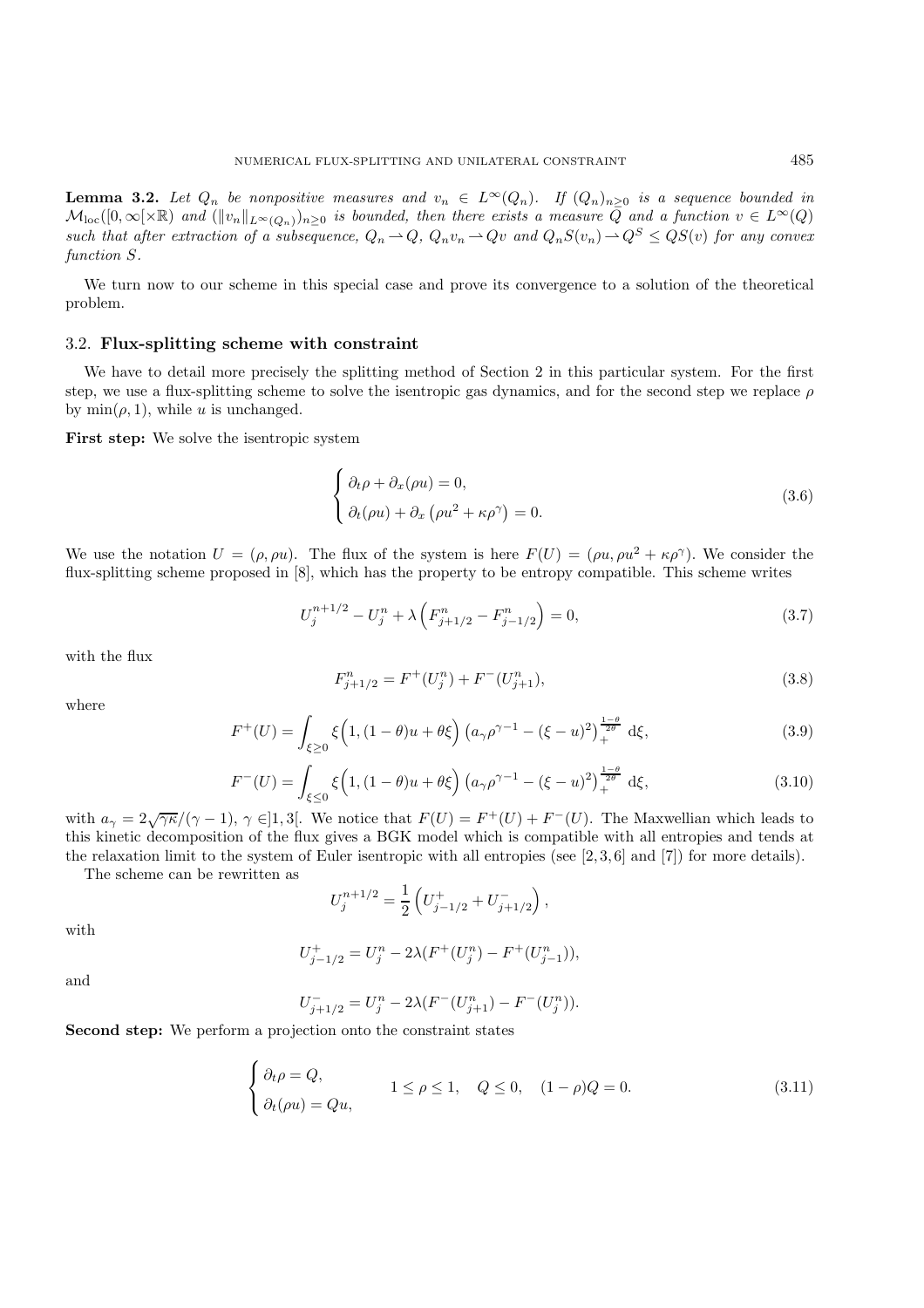**Lemma 3.2.** Let  $Q_n$  be nonpositive measures and  $v_n \in L^{\infty}(Q_n)$ . If  $(Q_n)_{n \geq 0}$  is a sequence bounded in  $\mathcal{M}_{\text{loc}}([0,\infty[\times\mathbb{R})$  and  $(\|v_n\|_{L^{\infty}(Q_n)})_{n\geq 0}$  is bounded, then there exists a measure  $Q$  and a function  $v \in L^{\infty}(Q)$ *such that after extraction of a subsequence,*  $Q_n \rightharpoonup Q$ ,  $Q_n v_n \rightharpoonup Qv$  and  $Q_n S(v_n) \rightharpoonup Q^S \le Q S(v)$  *for any convex function* S*.*

We turn now to our scheme in this special case and prove its convergence to a solution of the theoretical problem.

### 3.2. **Flux-splitting scheme with constraint**

We have to detail more precisely the splitting method of Section 2 in this particular system. For the first step, we use a flux-splitting scheme to solve the isentropic gas dynamics, and for the second step we replace  $\rho$ by  $\min(\rho, 1)$ , while u is unchanged.

**First step:** We solve the isentropic system

$$
\begin{cases} \partial_t \rho + \partial_x (\rho u) = 0, \\ \partial_t (\rho u) + \partial_x (\rho u^2 + \kappa \rho^\gamma) = 0. \end{cases}
$$
 (3.6)

We use the notation  $U = (\rho, \rho u)$ . The flux of the system is here  $F(U) = (\rho u, \rho u^2 + \kappa \rho^{\gamma})$ . We consider the flux-splitting scheme proposed in [8], which has the property to be entropy compatible. This scheme writes

$$
U_j^{n+1/2} - U_j^n + \lambda \left( F_{j+1/2}^n - F_{j-1/2}^n \right) = 0,
$$
\n(3.7)

with the flux

$$
F_{j+1/2}^n = F^+(U_j^n) + F^-(U_{j+1}^n),\tag{3.8}
$$

where

$$
F^{+}(U) = \int_{\xi \ge 0} \xi \left( 1, (1 - \theta)u + \theta \xi \right) \left( a_{\gamma} \rho^{\gamma - 1} - (\xi - u)^2 \right)_{+}^{\frac{1 - \theta}{2\theta}} d\xi, \tag{3.9}
$$

$$
F^{-}(U) = \int_{\xi \le 0} \xi \left( 1, (1 - \theta)u + \theta \xi \right) \left( a_{\gamma} \rho^{\gamma - 1} - (\xi - u)^2 \right)_{+}^{\frac{1 - \theta}{2\theta}} d\xi, \tag{3.10}
$$

with  $a_{\gamma} = 2\sqrt{\gamma\kappa}/(\gamma - 1)$ ,  $\gamma \in ]1, 3[$ . We notice that  $F(U) = F^+(U) + F^-(U)$ . The Maxwellian which leads to this kinetic decomposition of the flux gives a BGK model which is compatible with all entropies and tends at the relaxation limit to the system of Euler isentropic with all entropies (see  $[2, 3, 6]$  and  $[7]$ ) for more details).

The scheme can be rewritten as

$$
U_j^{n+1/2} = \frac{1}{2} \left( U_{j-1/2}^+ + U_{j+1/2}^- \right),
$$

with

$$
U_{j-1/2}^{+} = U_j^{n} - 2\lambda (F^{+}(U_j^{n}) - F^{+}(U_{j-1}^{n})),
$$

and

$$
U_{j+1/2}^- = U_j^n - 2\lambda (F^-(U_{j+1}^n) - F^-(U_j^n)).
$$

**Second step:** We perform a projection onto the constraint states

$$
\begin{cases} \partial_t \rho = Q, \\ \partial_t (\rho u) = Qu, \end{cases} \quad 1 \le \rho \le 1, \quad Q \le 0, \quad (1 - \rho)Q = 0. \tag{3.11}
$$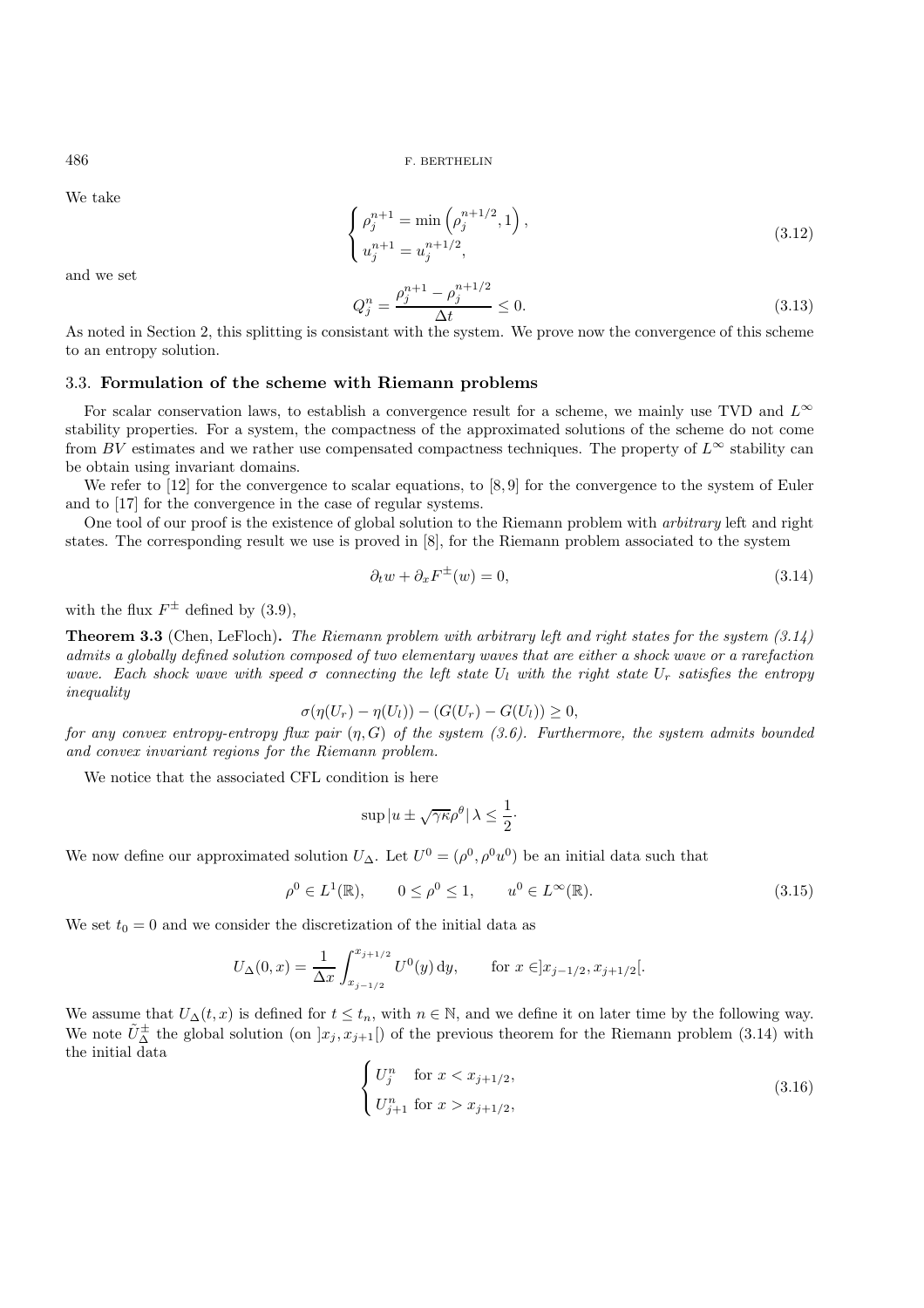We take

$$
\begin{cases}\n\rho_j^{n+1} = \min\left(\rho_j^{n+1/2}, 1\right), \\
u_j^{n+1} = u_j^{n+1/2},\n\end{cases} \tag{3.12}
$$

and we set

$$
Q_j^n = \frac{\rho_j^{n+1} - \rho_j^{n+1/2}}{\Delta t} \le 0.
$$
\n(3.13)

As noted in Section 2, this splitting is consistant with the system. We prove now the convergence of this scheme to an entropy solution.

### 3.3. **Formulation of the scheme with Riemann problems**

For scalar conservation laws, to establish a convergence result for a scheme, we mainly use TVD and  $L^{\infty}$ stability properties. For a system, the compactness of the approximated solutions of the scheme do not come from BV estimates and we rather use compensated compactness techniques. The property of  $L^{\infty}$  stability can be obtain using invariant domains.

We refer to [12] for the convergence to scalar equations, to [8,9] for the convergence to the system of Euler and to [17] for the convergence in the case of regular systems.

One tool of our proof is the existence of global solution to the Riemann problem with *arbitrary* left and right states. The corresponding result we use is proved in [8], for the Riemann problem associated to the system

$$
\partial_t w + \partial_x F^{\pm}(w) = 0,\tag{3.14}
$$

with the flux  $F^{\pm}$  defined by (3.9),

**Theorem 3.3** (Chen, LeFloch)**.** *The Riemann problem with arbitrary left and right states for the system (3.14) admits a globally defined solution composed of two elementary waves that are either a shock wave or a rarefaction wave.* Each shock wave with speed  $\sigma$  connecting the left state  $U_l$  with the right state  $U_r$  satisfies the entropy *inequality*

$$
\sigma(\eta(U_r) - \eta(U_l)) - (G(U_r) - G(U_l)) \ge 0,
$$

*for any convex entropy-entropy flux pair* (η, G) *of the system (3.6). Furthermore, the system admits bounded and convex invariant regions for the Riemann problem.*

We notice that the associated CFL condition is here

$$
\sup |u \pm \sqrt{\gamma \kappa} \rho^{\theta} | \lambda \le \frac{1}{2} \cdot
$$

We now define our approximated solution  $U_{\Delta}$ . Let  $U^0 = (\rho^0, \rho^0 u^0)$  be an initial data such that

$$
\rho^0 \in L^1(\mathbb{R}), \qquad 0 \le \rho^0 \le 1, \qquad u^0 \in L^\infty(\mathbb{R}). \tag{3.15}
$$

We set  $t_0 = 0$  and we consider the discretization of the initial data as

$$
U_{\Delta}(0,x) = \frac{1}{\Delta x} \int_{x_{j-1/2}}^{x_{j+1/2}} U^0(y) \, dy, \quad \text{for } x \in ]x_{j-1/2}, x_{j+1/2}[.
$$

We assume that  $U_{\Delta}(t, x)$  is defined for  $t \leq t_n$ , with  $n \in \mathbb{N}$ , and we define it on later time by the following way. We note  $\tilde{U}_{\Delta}^{\pm}$  the global solution (on  $x_j, x_{j+1}$ ) of the previous theorem for the Riemann problem (3.14) with the initial data

$$
\begin{cases}\nU_j^n & \text{for } x < x_{j+1/2}, \\
U_{j+1}^n & \text{for } x > x_{j+1/2},\n\end{cases} \tag{3.16}
$$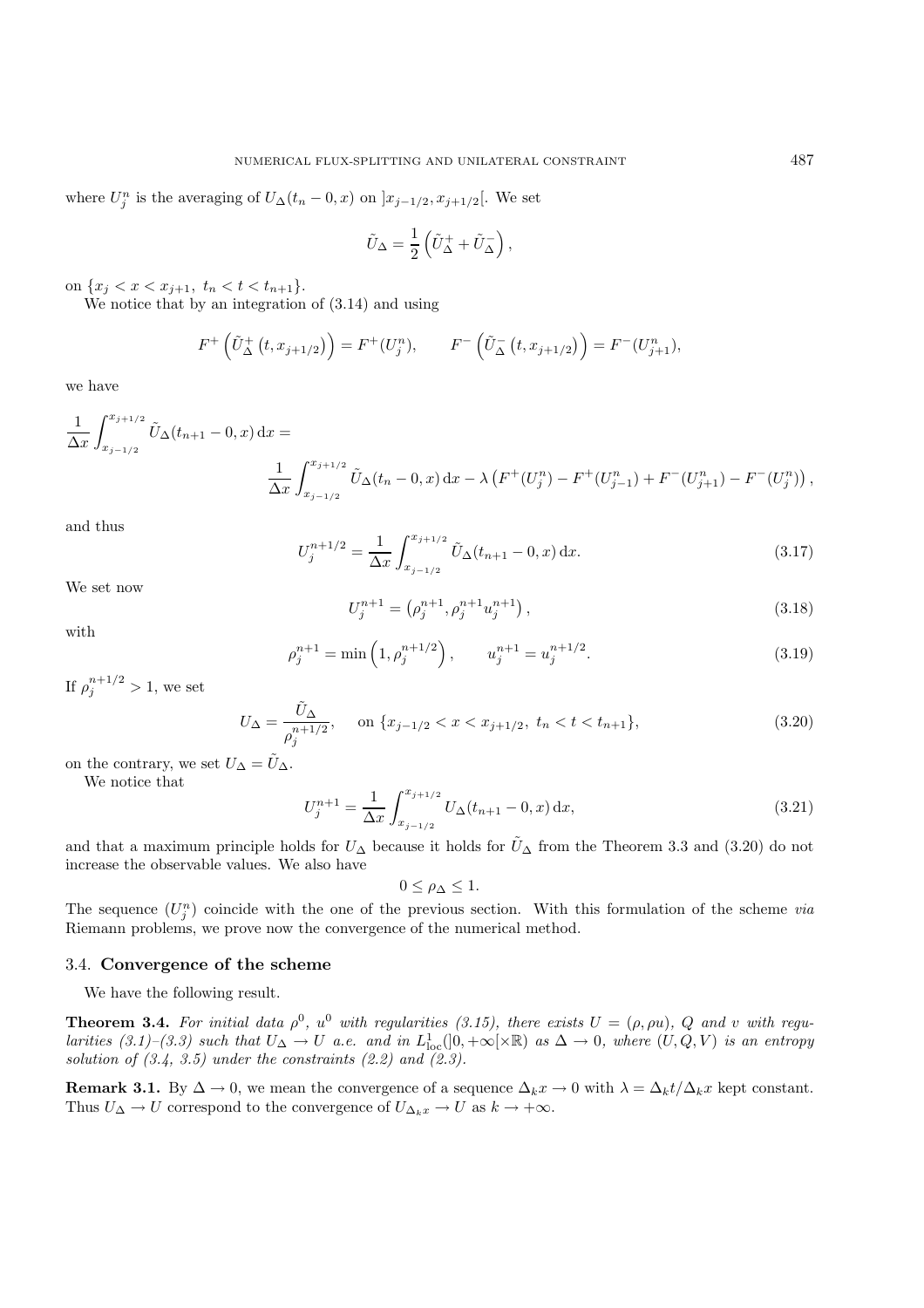where  $U_j^n$  is the averaging of  $U_{\Delta}(t_n - 0, x)$  on  $]x_{j-1/2}, x_{j+1/2}[$ . We set

$$
\tilde{U}_{\Delta} = \frac{1}{2} \left( \tilde{U}_{\Delta}^+ + \tilde{U}_{\Delta}^- \right),
$$

on  $\{x_j < x < x_{j+1}, t_n < t < t_{n+1}\}.$ 

We notice that by an integration of (3.14) and using

$$
F^+\left(\tilde{U}_{\Delta}^+\left(t,x_{j+1/2}\right)\right) = F^+(U_j^n), \qquad F^-\left(\tilde{U}_{\Delta}^-\left(t,x_{j+1/2}\right)\right) = F^-(U_{j+1}^n),
$$

we have

$$
\frac{1}{\Delta x} \int_{x_{j-1/2}}^{x_{j+1/2}} \tilde{U}_{\Delta}(t_{n+1} - 0, x) dx =
$$
\n
$$
\frac{1}{\Delta x} \int_{x_{j-1/2}}^{x_{j+1/2}} \tilde{U}_{\Delta}(t_n - 0, x) dx - \lambda \left( F^+(U_j^n) - F^+(U_{j-1}^n) + F^-(U_{j+1}^n) - F^-(U_j^n) \right),
$$

and thus

$$
U_j^{n+1/2} = \frac{1}{\Delta x} \int_{x_{j-1/2}}^{x_{j+1/2}} \tilde{U}_{\Delta}(t_{n+1} - 0, x) \, \mathrm{d}x. \tag{3.17}
$$

We set now

$$
U_j^{n+1} = \left(\rho_j^{n+1}, \rho_j^{n+1} u_j^{n+1}\right),\tag{3.18}
$$

with

$$
\rho_j^{n+1} = \min\left(1, \rho_j^{n+1/2}\right), \qquad u_j^{n+1} = u_j^{n+1/2}.
$$
\n(3.19)

If  $\rho_j^{n+1/2} > 1$ , we set

$$
U_{\Delta} = \frac{\tilde{U}_{\Delta}}{\rho_j^{n+1/2}}, \quad \text{on } \{x_{j-1/2} < x < x_{j+1/2}, \ t_n < t < t_{n+1}\},\tag{3.20}
$$

on the contrary, we set  $U_{\Delta} = \tilde{U}_{\Delta}$ .

We notice that

$$
U_j^{n+1} = \frac{1}{\Delta x} \int_{x_{j-1/2}}^{x_{j+1/2}} U_{\Delta}(t_{n+1} - 0, x) \, dx,\tag{3.21}
$$

and that a maximum principle holds for  $U_{\Delta}$  because it holds for  $\tilde{U}_{\Delta}$  from the Theorem 3.3 and (3.20) do not increase the observable values. We also have

$$
0\leq \rho_\Delta\leq 1.
$$

The sequence  $(U_j^n)$  coincide with the one of the previous section. With this formulation of the scheme *via* Riemann problems, we prove now the convergence of the numerical method.

## 3.4. **Convergence of the scheme**

We have the following result.

**Theorem 3.4.** For initial data  $\rho^0$ ,  $u^0$  with regularities (3.15), there exists  $U = (\rho, \rho u)$ ,  $Q$  and v with regu*larities*  $(3.1)$ – $(3.3)$  such that  $U_{\Delta} \to U$  *a.e. and in*  $L^1_{loc}([0, +\infty[\times \mathbb{R})]$  *as*  $\Delta \to 0$ *, where*  $(U, Q, V)$  *is an entropy solution of (3.4, 3.5) under the constraints (2.2) and (2.3).*

**Remark 3.1.** By  $\Delta \to 0$ , we mean the convergence of a sequence  $\Delta_k x \to 0$  with  $\lambda = \Delta_k t / \Delta_k x$  kept constant. Thus  $U_{\Delta} \to U$  correspond to the convergence of  $U_{\Delta_k x} \to U$  as  $k \to +\infty$ .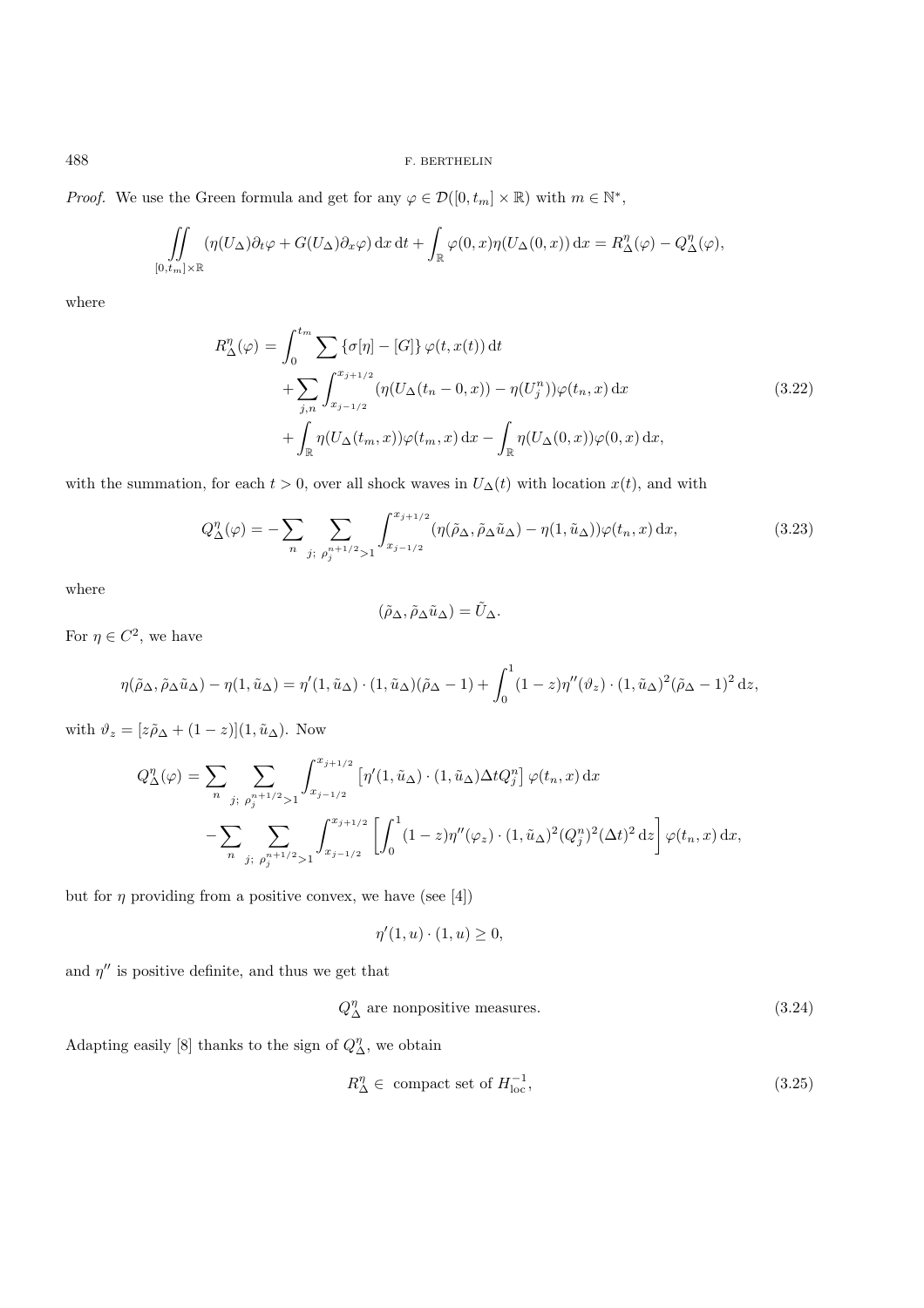*Proof.* We use the Green formula and get for any  $\varphi \in \mathcal{D}([0, t_m] \times \mathbb{R})$  with  $m \in \mathbb{N}^*$ ,

$$
\iint\limits_{[0,t_m]\times\mathbb{R}} (\eta(U_{\Delta})\partial_t\varphi + G(U_{\Delta})\partial_x\varphi) dx dt + \int_{\mathbb{R}} \varphi(0,x)\eta(U_{\Delta}(0,x)) dx = R_{\Delta}^{\eta}(\varphi) - Q_{\Delta}^{\eta}(\varphi),
$$

where

$$
R_{\Delta}^{\eta}(\varphi) = \int_0^{t_m} \sum \{\sigma[\eta] - [G]\} \varphi(t, x(t)) dt
$$
  
+ 
$$
\sum_{j,n} \int_{x_{j-1/2}}^{x_{j+1/2}} (\eta(U_{\Delta}(t_n - 0, x)) - \eta(U_j^n)) \varphi(t_n, x) dx
$$
  
+ 
$$
\int_{\mathbb{R}} \eta(U_{\Delta}(t_m, x)) \varphi(t_m, x) dx - \int_{\mathbb{R}} \eta(U_{\Delta}(0, x)) \varphi(0, x) dx,
$$
\n(3.22)

with the summation, for each  $t > 0$ , over all shock waves in  $U_{\Delta}(t)$  with location  $x(t)$ , and with

$$
Q_{\Delta}^{\eta}(\varphi) = -\sum_{n} \sum_{j; \rho_j^{n+1/2} > 1} \int_{x_{j-1/2}}^{x_{j+1/2}} (\eta(\tilde{\rho}_{\Delta}, \tilde{\rho}_{\Delta}\tilde{u}_{\Delta}) - \eta(1, \tilde{u}_{\Delta})) \varphi(t_n, x) dx,
$$
\n(3.23)

where

$$
(\tilde{\rho}_{\Delta},\tilde{\rho}_{\Delta}\tilde{u}_{\Delta})=\tilde{U}_{\Delta}.
$$

For  $\eta \in C^2$ , we have

$$
\eta(\tilde{\rho}_{\Delta}, \tilde{\rho}_{\Delta}\tilde{u}_{\Delta}) - \eta(1, \tilde{u}_{\Delta}) = \eta'(1, \tilde{u}_{\Delta}) \cdot (1, \tilde{u}_{\Delta})(\tilde{\rho}_{\Delta} - 1) + \int_0^1 (1 - z)\eta''(\vartheta_z) \cdot (1, \tilde{u}_{\Delta})^2(\tilde{\rho}_{\Delta} - 1)^2 dz,
$$

with  $\vartheta_z = [z\tilde{\rho}_{\Delta} + (1-z)](1, \tilde{u}_{\Delta})$ . Now

$$
Q_{\Delta}^{\eta}(\varphi) = \sum_{n} \sum_{j; \rho_j^{n+1/2} > 1} \int_{x_{j-1/2}}^{x_{j+1/2}} \left[ \eta'(1, \tilde{u}_{\Delta}) \cdot (1, \tilde{u}_{\Delta}) \Delta t Q_j^n \right] \varphi(t_n, x) dx
$$

$$
- \sum_{n} \sum_{j; \rho_j^{n+1/2} > 1} \int_{x_{j-1/2}}^{x_{j+1/2}} \left[ \int_0^1 (1 - z) \eta''(\varphi_z) \cdot (1, \tilde{u}_{\Delta})^2 (Q_j^n)^2 (\Delta t)^2 dz \right] \varphi(t_n, x) dx,
$$

but for  $\eta$  providing from a positive convex, we have (see [4])

$$
\eta'(1, u) \cdot (1, u) \ge 0,
$$

and  $\eta''$  is positive definite, and thus we get that

$$
Q_{\Delta}^{\eta} \text{ are nonpositive measures.} \tag{3.24}
$$

Adapting easily [8] thanks to the sign of  $Q_{\Delta}^{\eta}$ , we obtain

$$
R_{\Delta}^{\eta} \in \text{ compact set of } H_{\text{loc}}^{-1},\tag{3.25}
$$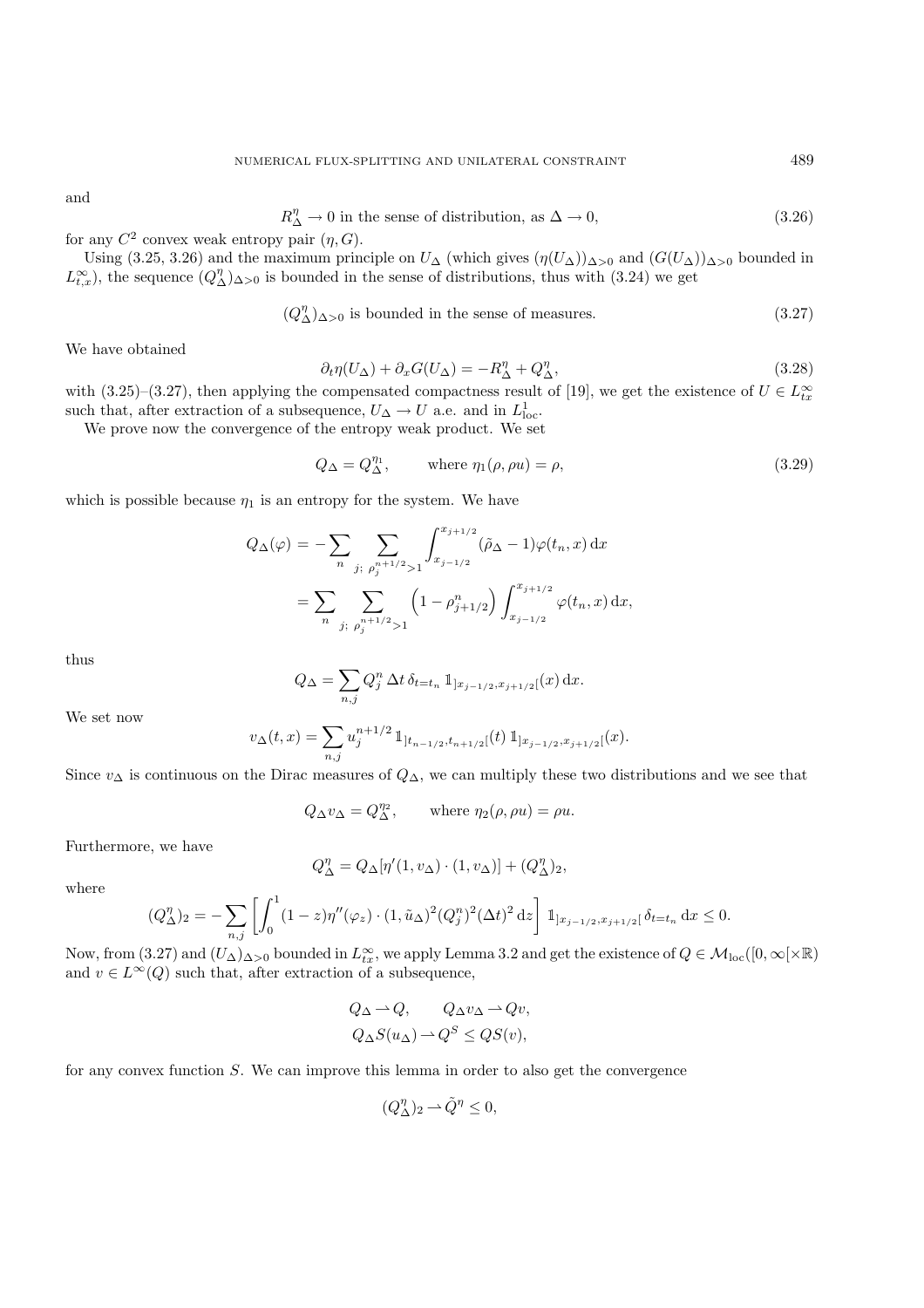and

$$
R_{\Delta}^{\eta} \to 0 \text{ in the sense of distribution, as } \Delta \to 0,
$$
\n(3.26)

for any  $C^2$  convex weak entropy pair  $(\eta, G)$ .

Using (3.25, 3.26) and the maximum principle on  $U_{\Delta}$  (which gives  $(\eta(U_{\Delta}))_{\Delta>0}$  and  $(G(U_{\Delta}))_{\Delta>0}$  bounded in  $L_{t,x}^{\infty}$ , the sequence  $(Q_{\Delta}^{\eta})_{\Delta>0}$  is bounded in the sense of distributions, thus with (3.24) we get

$$
(Q_{\Delta}^{\eta})_{\Delta>0} \text{ is bounded in the sense of measures.} \tag{3.27}
$$

We have obtained

$$
\partial_t \eta(U_\Delta) + \partial_x G(U_\Delta) = -R_\Delta^{\eta} + Q_\Delta^{\eta},\tag{3.28}
$$

with (3.25)–(3.27), then applying the compensated compactness result of [19], we get the existence of  $U \in L_{tx}^{\infty}$ such that, after extraction of a subsequence,  $U_{\Delta} \to U$  a.e. and in  $L^1_{loc}$ .

We prove now the convergence of the entropy weak product. We set

$$
Q_{\Delta} = Q_{\Delta}^{\eta_1}, \qquad \text{where } \eta_1(\rho, \rho u) = \rho,
$$
\n(3.29)

which is possible because  $\eta_1$  is an entropy for the system. We have

$$
Q_{\Delta}(\varphi) = -\sum_{n} \sum_{j; \rho_{j}^{n+1/2} > 1} \int_{x_{j-1/2}}^{x_{j+1/2}} (\tilde{\rho}_{\Delta} - 1) \varphi(t_{n}, x) dx
$$
  
= 
$$
\sum_{n} \sum_{j; \rho_{j}^{n+1/2} > 1} \left(1 - \rho_{j+1/2}^{n}\right) \int_{x_{j-1/2}}^{x_{j+1/2}} \varphi(t_{n}, x) dx,
$$

thus

$$
Q_{\Delta} = \sum_{n,j} Q_j^n \, \Delta t \, \delta_{t=t_n} \, \mathbb{1}_{]x_{j-1/2}, x_{j+1/2}[}(x) \, \mathrm{d}x.
$$

We set now

$$
v_{\Delta}(t,x) = \sum_{n,j} u_j^{n+1/2} \mathbb{1}_{]t_{n-1/2},t_{n+1/2}[}(t) \mathbb{1}_{]x_{j-1/2},x_{j+1/2}[}(x).
$$

Since  $v_{\Delta}$  is continuous on the Dirac measures of  $Q_{\Delta}$ , we can multiply these two distributions and we see that

$$
Q_{\Delta}v_{\Delta} = Q_{\Delta}^{\eta_2}
$$
, where  $\eta_2(\rho, \rho u) = \rho u$ .

Furthermore, we have

$$
Q_\Delta^\eta=Q_\Delta[\eta'(1,v_\Delta)\cdot(1,v_\Delta)]+(Q_\Delta^\eta)_2,
$$

where

$$
(Q_{\Delta}^{\eta})_2 = -\sum_{n,j} \left[ \int_0^1 (1-z)\eta''(\varphi_z) \cdot (1,\tilde{u}_{\Delta})^2 (Q_j^n)^2 (\Delta t)^2 dz \right] \mathbb{1}_{]x_{j-1/2}, x_{j+1/2}[} \delta_{t=t_n} dx \le 0.
$$

Now, from  $(3.27)$  and  $(U_\Delta)_{\Delta>0}$  bounded in  $L^\infty_{tx}$ , we apply Lemma 3.2 and get the existence of  $Q \in \mathcal{M}_{loc}([0,\infty[\times \mathbb{R})$ and  $v \in L^{\infty}(Q)$  such that, after extraction of a subsequence,

$$
Q_{\Delta} \to Q, \qquad Q_{\Delta} v_{\Delta} \to Qv,
$$
  

$$
Q_{\Delta} S(u_{\Delta}) \to Q^S \le QS(v),
$$

for any convex function S. We can improve this lemma in order to also get the convergence

$$
(Q_{\Delta}^{\eta})_2 \rightharpoonup \tilde{Q}^{\eta} \le 0,
$$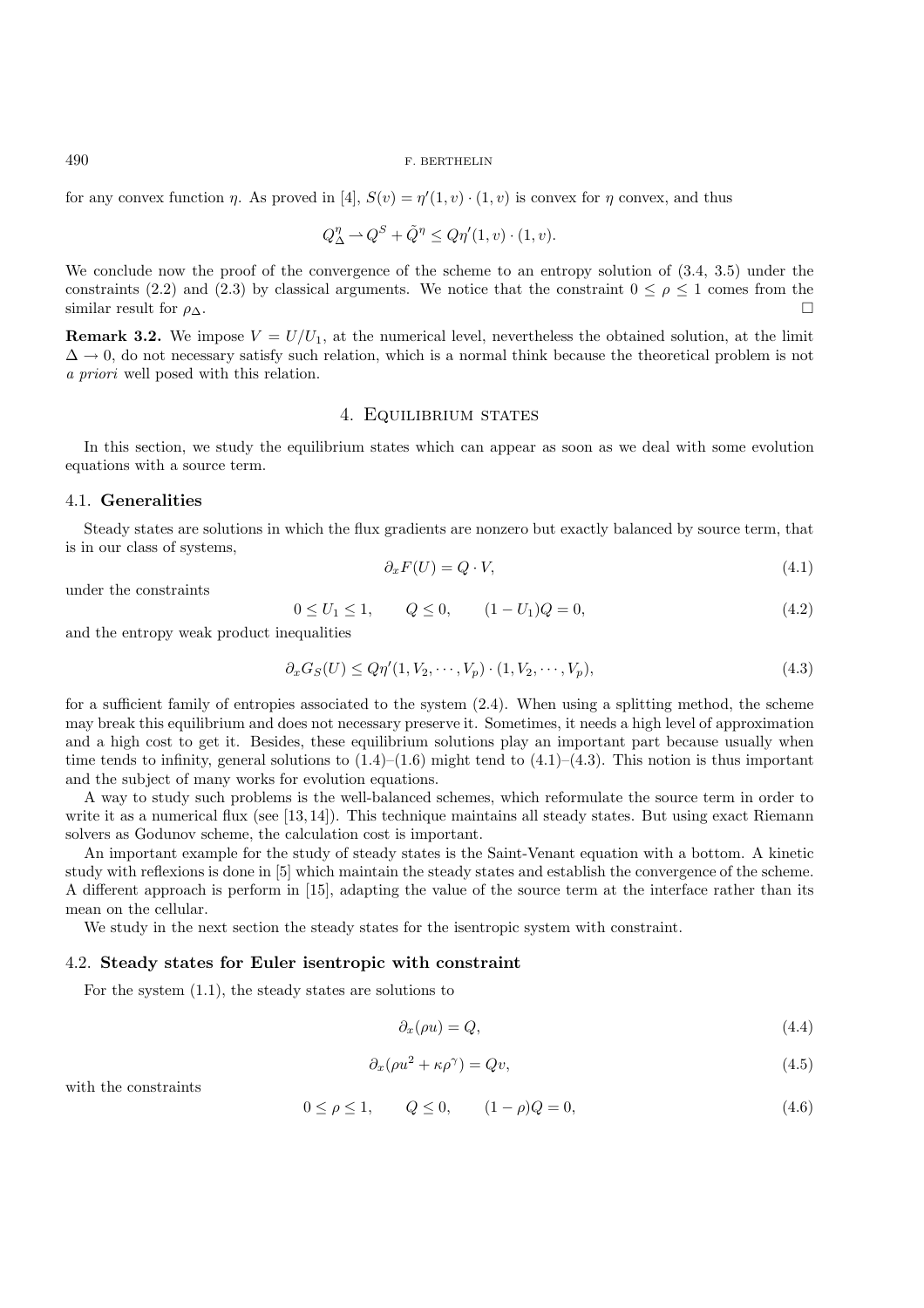for any convex function  $\eta$ . As proved in [4],  $S(v) = \eta'(1, v) \cdot (1, v)$  is convex for  $\eta$  convex, and thus

$$
Q_{\Delta}^{\eta} \rightharpoonup Q^S + \tilde{Q}^{\eta} \le Q\eta'(1, v) \cdot (1, v).
$$

We conclude now the proof of the convergence of the scheme to an entropy solution of (3.4, 3.5) under the constraints (2.2) and (2.3) by classical arguments. We notice that the constraint  $0 \leq \rho \leq 1$  comes from the similar result for  $\rho_{\Delta}$ .

**Remark 3.2.** We impose  $V = U/U_1$ , at the numerical level, nevertheless the obtained solution, at the limit  $\Delta \rightarrow 0$ , do not necessary satisfy such relation, which is a normal think because the theoretical problem is not *a priori* well posed with this relation.

## 4. Equilibrium states

In this section, we study the equilibrium states which can appear as soon as we deal with some evolution equations with a source term.

## 4.1. **Generalities**

Steady states are solutions in which the flux gradients are nonzero but exactly balanced by source term, that is in our class of systems,

$$
\partial_x F(U) = Q \cdot V,\tag{4.1}
$$

under the constraints

$$
0 \le U_1 \le 1, \qquad Q \le 0, \qquad (1 - U_1)Q = 0,\tag{4.2}
$$

and the entropy weak product inequalities

$$
\partial_x G_S(U) \le Q\eta'(1, V_2, \cdots, V_p) \cdot (1, V_2, \cdots, V_p),\tag{4.3}
$$

for a sufficient family of entropies associated to the system (2.4). When using a splitting method, the scheme may break this equilibrium and does not necessary preserve it. Sometimes, it needs a high level of approximation and a high cost to get it. Besides, these equilibrium solutions play an important part because usually when time tends to infinity, general solutions to  $(1.4)$ – $(1.6)$  might tend to  $(4.1)$ – $(4.3)$ . This notion is thus important and the subject of many works for evolution equations.

A way to study such problems is the well-balanced schemes, which reformulate the source term in order to write it as a numerical flux (see [13,14]). This technique maintains all steady states. But using exact Riemann solvers as Godunov scheme, the calculation cost is important.

An important example for the study of steady states is the Saint-Venant equation with a bottom. A kinetic study with reflexions is done in [5] which maintain the steady states and establish the convergence of the scheme. A different approach is perform in [15], adapting the value of the source term at the interface rather than its mean on the cellular.

We study in the next section the steady states for the isentropic system with constraint.

#### 4.2. **Steady states for Euler isentropic with constraint**

For the system (1.1), the steady states are solutions to

$$
\partial_x(\rho u) = Q,\tag{4.4}
$$

$$
\partial_x(\rho u^2 + \kappa \rho^\gamma) = Qv,\tag{4.5}
$$

with the constraints

$$
0 \le \rho \le 1, \qquad Q \le 0, \qquad (1 - \rho)Q = 0,\tag{4.6}
$$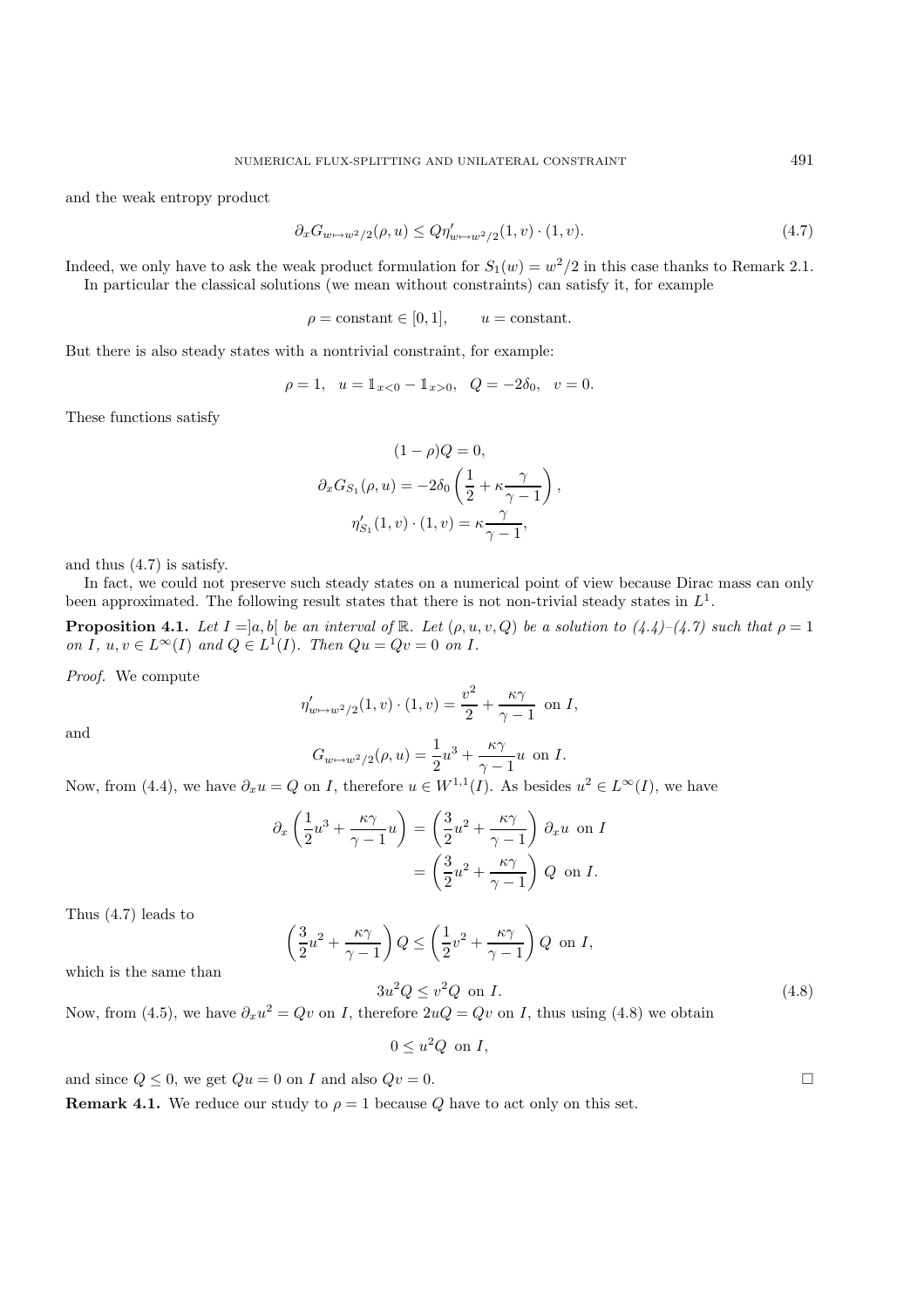and the weak entropy product

$$
\partial_x G_{w \mapsto w^2/2}(\rho, u) \le Q \eta'_{w \mapsto w^2/2}(1, v) \cdot (1, v). \tag{4.7}
$$

Indeed, we only have to ask the weak product formulation for  $S_1(w) = w^2/2$  in this case thanks to Remark 2.1. In particular the classical solutions (we mean without constraints) can satisfy it, for example

$$
\rho = \text{constant} \in [0, 1], \qquad u = \text{constant}.
$$

But there is also steady states with a nontrivial constraint, for example:

$$
\rho = 1, \quad u = \mathbb{1}_{x < 0} - \mathbb{1}_{x > 0}, \quad Q = -2\delta_0, \quad v = 0.
$$

These functions satisfy

$$
(1 - \rho)Q = 0,
$$
  
\n
$$
\partial_x G_{S_1}(\rho, u) = -2\delta_0 \left(\frac{1}{2} + \kappa \frac{\gamma}{\gamma - 1}\right),
$$
  
\n
$$
\eta'_{S_1}(1, v) \cdot (1, v) = \kappa \frac{\gamma}{\gamma - 1},
$$

and thus (4.7) is satisfy.

In fact, we could not preserve such steady states on a numerical point of view because Dirac mass can only been approximated. The following result states that there is not non-trivial steady states in  $L<sup>1</sup>$ .

**Proposition 4.1.** *Let*  $I = ]a, b[$  *be an interval of*  $\mathbb{R}$ *. Let*  $(\rho, u, v, Q)$  *be a solution to*  $(4.4) - (4.7)$  *such that*  $\rho = 1$ *on I*,  $u, v \in L^{\infty}(I)$  *and*  $Q \in L^{1}(I)$ *. Then*  $Qu = Qv = 0$  *on I.* 

*Proof.* We compute

$$
\eta'_{w \mapsto w^2/2}(1, v) \cdot (1, v) = \frac{v^2}{2} + \frac{\kappa \gamma}{\gamma - 1} \text{ on } I,
$$

and

$$
G_{w \mapsto w^2/2}(\rho, u) = \frac{1}{2}u^3 + \frac{\kappa \gamma}{\gamma - 1}u
$$
 on *I*.

Now, from (4.4), we have  $\partial_x u = Q$  on I, therefore  $u \in W^{1,1}(I)$ . As besides  $u^2 \in L^{\infty}(I)$ , we have

$$
\partial_x \left( \frac{1}{2} u^3 + \frac{\kappa \gamma}{\gamma - 1} u \right) = \left( \frac{3}{2} u^2 + \frac{\kappa \gamma}{\gamma - 1} \right) \partial_x u \text{ on } I
$$

$$
= \left( \frac{3}{2} u^2 + \frac{\kappa \gamma}{\gamma - 1} \right) Q \text{ on } I.
$$

Thus (4.7) leads to

$$
\left(\frac{3}{2}u^2 + \frac{\kappa \gamma}{\gamma - 1}\right)Q \le \left(\frac{1}{2}v^2 + \frac{\kappa \gamma}{\gamma - 1}\right)Q \text{ on } I,
$$

which is the same than

$$
3u^2Q \le v^2Q \text{ on } I.
$$
 (4.8)  
Now, from (4.5), we have  $\partial_x u^2 = Qv$  on  $I$ , therefore  $2uQ = Qv$  on  $I$ , thus using (4.8) we obtain

$$
0 \le u^2 Q \text{ on } I,
$$

and since  $Q \le 0$ , we get  $Qu = 0$  on I and also  $Qv = 0$ .

**Remark 4.1.** We reduce our study to  $\rho = 1$  because Q have to act only on this set.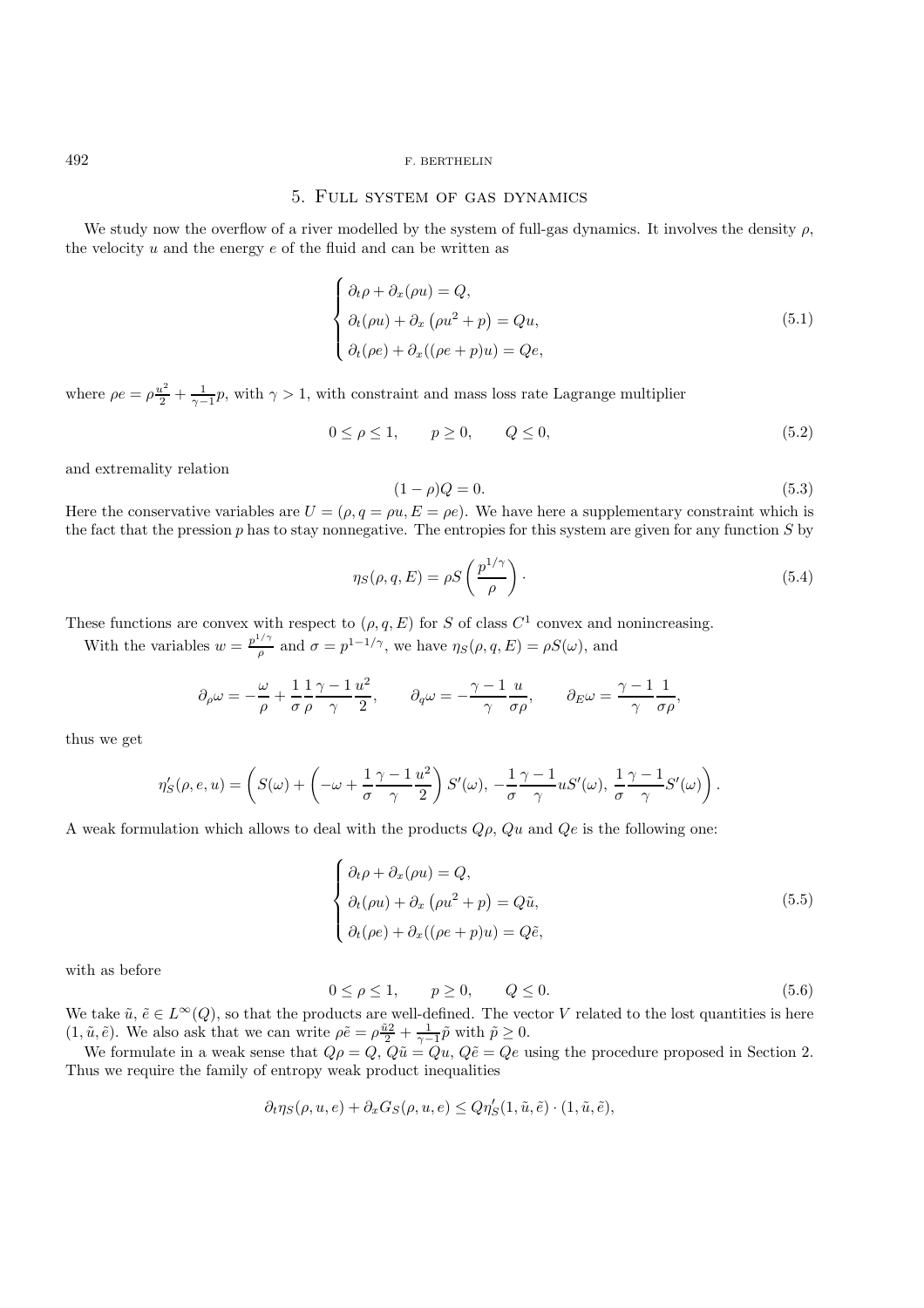## 5. Full system of gas dynamics

We study now the overflow of a river modelled by the system of full-gas dynamics. It involves the density  $\rho$ , the velocity  $u$  and the energy  $e$  of the fluid and can be written as

$$
\begin{cases}\n\partial_t \rho + \partial_x (\rho u) = Q, \\
\partial_t (\rho u) + \partial_x (\rho u^2 + p) = Q u, \\
\partial_t (\rho e) + \partial_x ((\rho e + p) u) = Q e,\n\end{cases}
$$
\n(5.1)

where  $\rho e = \rho \frac{u^2}{2} + \frac{1}{\gamma - 1} p$ , with  $\gamma > 1$ , with constraint and mass loss rate Lagrange multiplier

$$
0 \le \rho \le 1, \qquad p \ge 0, \qquad Q \le 0,\tag{5.2}
$$

and extremality relation

$$
(1 - \rho)Q = 0.\tag{5.3}
$$

Here the conservative variables are  $U = (\rho, q = \rho u, E = \rho e)$ . We have here a supplementary constraint which is the fact that the pression  $p$  has to stay nonnegative. The entropies for this system are given for any function  $S$  by

$$
\eta_S(\rho, q, E) = \rho S \left(\frac{p^{1/\gamma}}{\rho}\right). \tag{5.4}
$$

These functions are convex with respect to  $(\rho, q, E)$  for S of class  $C^1$  convex and nonincreasing.

With the variables  $w = \frac{p^{1/\gamma}}{\rho}$  and  $\sigma = p^{1-1/\gamma}$ , we have  $\eta_S(\rho, q, E) = \rho S(\omega)$ , and

$$
\partial_{\rho}\omega = -\frac{\omega}{\rho} + \frac{1}{\sigma}\frac{1}{\rho}\frac{\gamma - 1}{\gamma}\frac{u^2}{2}, \qquad \partial_{q}\omega = -\frac{\gamma - 1}{\gamma}\frac{u}{\sigma\rho}, \qquad \partial_{E}\omega = \frac{\gamma - 1}{\gamma}\frac{1}{\sigma\rho},
$$

thus we get

$$
\eta'_S(\rho,e,u)=\left(S(\omega)+\left(-\omega+\frac{1}{\sigma}\frac{\gamma-1}{\gamma}\frac{u^2}{2}\right)S'(\omega),\ -\frac{1}{\sigma}\frac{\gamma-1}{\gamma}uS'(\omega),\ \frac{1}{\sigma}\frac{\gamma-1}{\gamma}S'(\omega)\right).
$$

A weak formulation which allows to deal with the products  $Q\rho$ ,  $Qu$  and  $Qe$  is the following one:

$$
\begin{cases}\n\partial_t \rho + \partial_x (\rho u) = Q, \\
\partial_t (\rho u) + \partial_x (\rho u^2 + p) = Q \tilde{u}, \\
\partial_t (\rho e) + \partial_x ((\rho e + p) u) = Q \tilde{e},\n\end{cases}
$$
\n(5.5)

with as before

$$
0 \le \rho \le 1, \qquad p \ge 0, \qquad Q \le 0. \tag{5.6}
$$

We take  $\tilde{u}, \tilde{e} \in L^{\infty}(Q)$ , so that the products are well-defined. The vector V related to the lost quantities is here  $(1, \tilde{u}, \tilde{e})$ . We also ask that we can write  $\rho \tilde{e} = \rho \frac{\tilde{u}^2}{2} + \frac{1}{\gamma - 1} \tilde{p}$  with  $\tilde{p} \ge 0$ .

We formulate in a weak sense that  $Q\rho = Q, Q\tilde{u} = Qu, Q\tilde{e} = Qe$  using the procedure proposed in Section 2. Thus we require the family of entropy weak product inequalities

$$
\partial_t \eta_S(\rho, u, e) + \partial_x G_S(\rho, u, e) \le Q \eta'_S(1, \tilde{u}, \tilde{e}) \cdot (1, \tilde{u}, \tilde{e}),
$$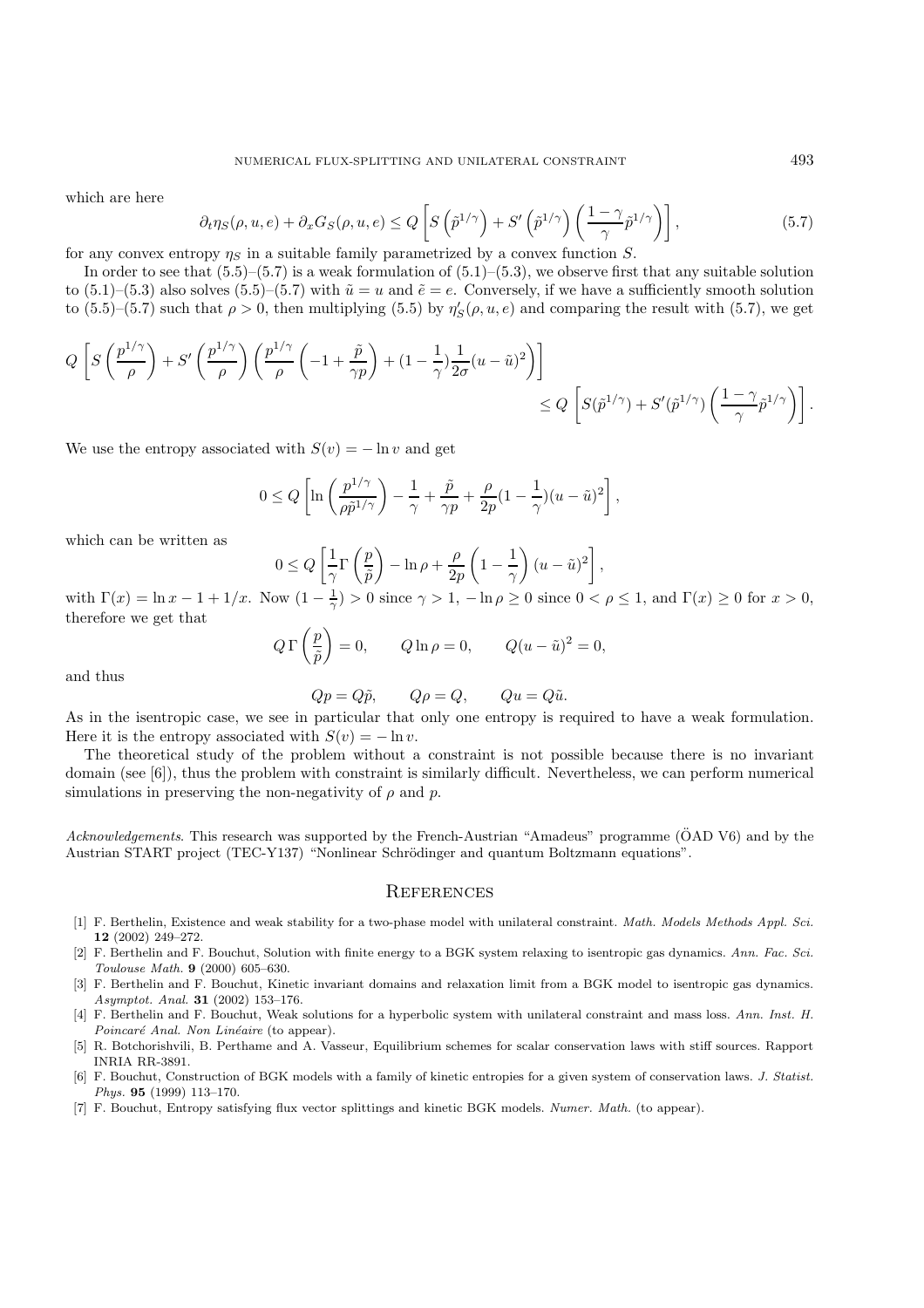which are here

$$
\partial_t \eta_S(\rho, u, e) + \partial_x G_S(\rho, u, e) \le Q \left[ S \left( \tilde{p}^{1/\gamma} \right) + S' \left( \tilde{p}^{1/\gamma} \right) \left( \frac{1 - \gamma}{\gamma} \tilde{p}^{1/\gamma} \right) \right],\tag{5.7}
$$

for any convex entropy  $\eta_s$  in a suitable family parametrized by a convex function S.

In order to see that  $(5.5)-(5.7)$  is a weak formulation of  $(5.1)-(5.3)$ , we observe first that any suitable solution to  $(5.1)$ – $(5.3)$  also solves  $(5.5)$ – $(5.7)$  with  $\tilde{u} = u$  and  $\tilde{e} = e$ . Conversely, if we have a sufficiently smooth solution to  $(5.5)$ – $(5.7)$  such that  $\rho > 0$ , then multiplying  $(5.5)$  by  $\eta'_{S}(\rho, u, e)$  and comparing the result with  $(5.7)$ , we get

$$
Q\left[S\left(\frac{p^{1/\gamma}}{\rho}\right) + S'\left(\frac{p^{1/\gamma}}{\rho}\right)\left(\frac{p^{1/\gamma}}{\rho}\left(-1+\frac{\tilde{p}}{\gamma p}\right) + (1-\frac{1}{\gamma})\frac{1}{2\sigma}(u-\tilde{u})^2\right)\right] \leq Q\left[S(\tilde{p}^{1/\gamma}) + S'(\tilde{p}^{1/\gamma})\left(\frac{1-\gamma}{\gamma}\tilde{p}^{1/\gamma}\right)\right].
$$

We use the entropy associated with  $S(v) = -\ln v$  and get

$$
0 \le Q\left[\ln\left(\frac{p^{1/\gamma}}{\rho\tilde{p}^{1/\gamma}}\right) - \frac{1}{\gamma} + \frac{\tilde{p}}{\gamma p} + \frac{\rho}{2p}(1 - \frac{1}{\gamma})(u - \tilde{u})^2\right],
$$

which can be written as

$$
0 \le Q\left[\frac{1}{\gamma}\Gamma\left(\frac{p}{\tilde{p}}\right) - \ln \rho + \frac{\rho}{2p}\left(1 - \frac{1}{\gamma}\right)(u - \tilde{u})^2\right],
$$

with  $\Gamma(x) = \ln x - 1 + 1/x$ . Now  $(1 - \frac{1}{\gamma}) > 0$  since  $\gamma > 1$ ,  $-\ln \rho \ge 0$  since  $0 < \rho \le 1$ , and  $\Gamma(x) \ge 0$  for  $x > 0$ , therefore we get that

$$
Q\,\Gamma\left(\frac{p}{\tilde{p}}\right) = 0, \qquad Q\ln\rho = 0, \qquad Q(u - \tilde{u})^2 = 0,
$$

and thus

$$
Qp = Q\tilde{p},
$$
  $Q\rho = Q,$   $Qu = Q\tilde{u}.$ 

As in the isentropic case, we see in particular that only one entropy is required to have a weak formulation. Here it is the entropy associated with  $S(v) = -\ln v$ .

The theoretical study of the problem without a constraint is not possible because there is no invariant domain (see [6]), thus the problem with constraint is similarly difficult. Nevertheless, we can perform numerical simulations in preserving the non-negativity of  $\rho$  and  $p$ .

*Acknowledgements*. This research was supported by the French-Austrian "Amadeus" programme (OAD V6) and by the Austrian START project (TEC-Y137) "Nonlinear Schrödinger and quantum Boltzmann equations".

### **REFERENCES**

- [1] F. Berthelin, Existence and weak stability for a two-phase model with unilateral constraint. *Math. Models Methods Appl. Sci.* **12** (2002) 249–272.
- [2] F. Berthelin and F. Bouchut, Solution with finite energy to a BGK system relaxing to isentropic gas dynamics. *Ann. Fac. Sci. Toulouse Math.* **9** (2000) 605–630.
- [3] F. Berthelin and F. Bouchut, Kinetic invariant domains and relaxation limit from a BGK model to isentropic gas dynamics. *Asymptot. Anal.* **31** (2002) 153–176.
- [4] F. Berthelin and F. Bouchut, Weak solutions for a hyperbolic system with unilateral constraint and mass loss. *Ann. Inst. H. Poincaré Anal. Non Linéaire* (to appear).
- [5] R. Botchorishvili, B. Perthame and A. Vasseur, Equilibrium schemes for scalar conservation laws with stiff sources. Rapport INRIA RR-3891.
- [6] F. Bouchut, Construction of BGK models with a family of kinetic entropies for a given system of conservation laws. *J. Statist. Phys.* **95** (1999) 113–170.
- [7] F. Bouchut, Entropy satisfying flux vector splittings and kinetic BGK models. *Numer. Math.* (to appear).